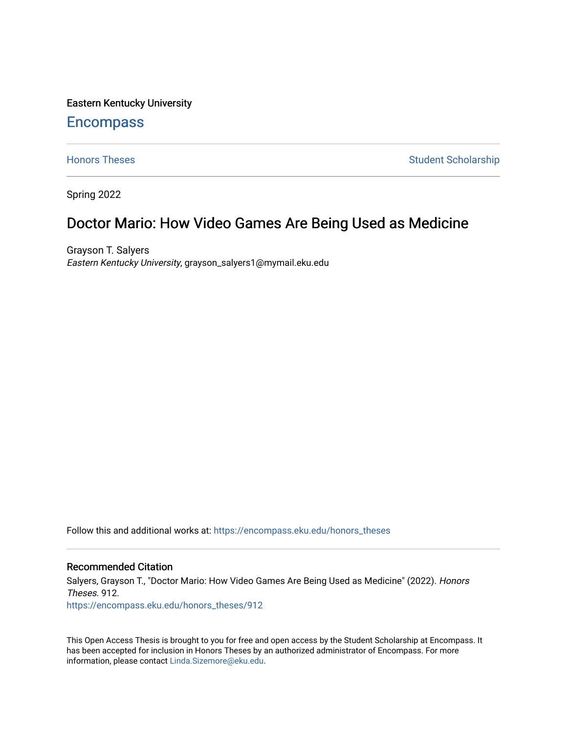Eastern Kentucky University

### **Encompass**

[Honors Theses](https://encompass.eku.edu/honors_theses) **Student Scholarship** Student Scholarship

Spring 2022

# Doctor Mario: How Video Games Are Being Used as Medicine

Grayson T. Salyers Eastern Kentucky University, grayson\_salyers1@mymail.eku.edu

Follow this and additional works at: [https://encompass.eku.edu/honors\\_theses](https://encompass.eku.edu/honors_theses?utm_source=encompass.eku.edu%2Fhonors_theses%2F912&utm_medium=PDF&utm_campaign=PDFCoverPages) 

#### Recommended Citation

Salyers, Grayson T., "Doctor Mario: How Video Games Are Being Used as Medicine" (2022). Honors Theses. 912. [https://encompass.eku.edu/honors\\_theses/912](https://encompass.eku.edu/honors_theses/912?utm_source=encompass.eku.edu%2Fhonors_theses%2F912&utm_medium=PDF&utm_campaign=PDFCoverPages) 

This Open Access Thesis is brought to you for free and open access by the Student Scholarship at Encompass. It has been accepted for inclusion in Honors Theses by an authorized administrator of Encompass. For more information, please contact [Linda.Sizemore@eku.edu.](mailto:Linda.Sizemore@eku.edu)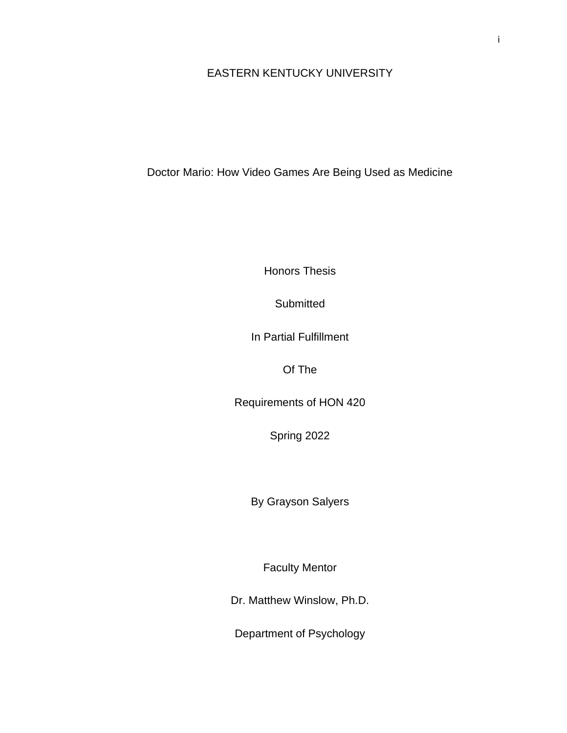### EASTERN KENTUCKY UNIVERSITY

Doctor Mario: How Video Games Are Being Used as Medicine

Honors Thesis

**Submitted** 

In Partial Fulfillment

Of The

Requirements of HON 420

Spring 2022

By Grayson Salyers

Faculty Mentor

Dr. Matthew Winslow, Ph.D.

Department of Psychology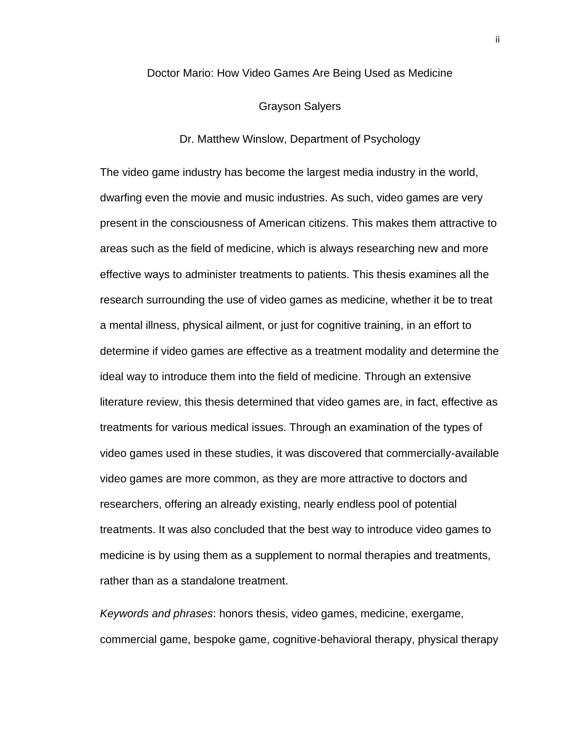#### Doctor Mario: How Video Games Are Being Used as Medicine

#### Grayson Salyers

#### Dr. Matthew Winslow, Department of Psychology

The video game industry has become the largest media industry in the world, dwarfing even the movie and music industries. As such, video games are very present in the consciousness of American citizens. This makes them attractive to areas such as the field of medicine, which is always researching new and more effective ways to administer treatments to patients. This thesis examines all the research surrounding the use of video games as medicine, whether it be to treat a mental illness, physical ailment, or just for cognitive training, in an effort to determine if video games are effective as a treatment modality and determine the ideal way to introduce them into the field of medicine. Through an extensive literature review, this thesis determined that video games are, in fact, effective as treatments for various medical issues. Through an examination of the types of video games used in these studies, it was discovered that commercially-available video games are more common, as they are more attractive to doctors and researchers, offering an already existing, nearly endless pool of potential treatments. It was also concluded that the best way to introduce video games to medicine is by using them as a supplement to normal therapies and treatments, rather than as a standalone treatment.

*Keywords and phrases*: honors thesis, video games, medicine, exergame, commercial game, bespoke game, cognitive-behavioral therapy, physical therapy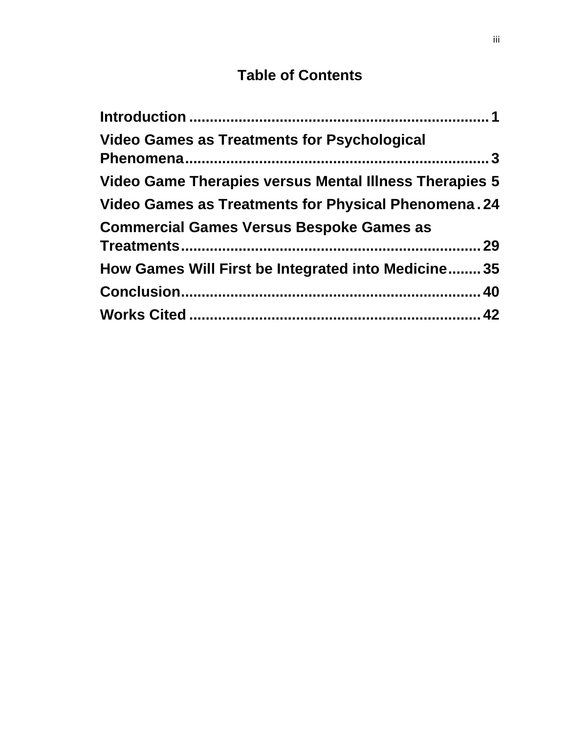# **Table of Contents**

| <b>Video Games as Treatments for Psychological</b>     |
|--------------------------------------------------------|
| Video Game Therapies versus Mental Illness Therapies 5 |
| Video Games as Treatments for Physical Phenomena. 24   |
| <b>Commercial Games Versus Bespoke Games as</b>        |
| How Games Will First be Integrated into Medicine35     |
|                                                        |
|                                                        |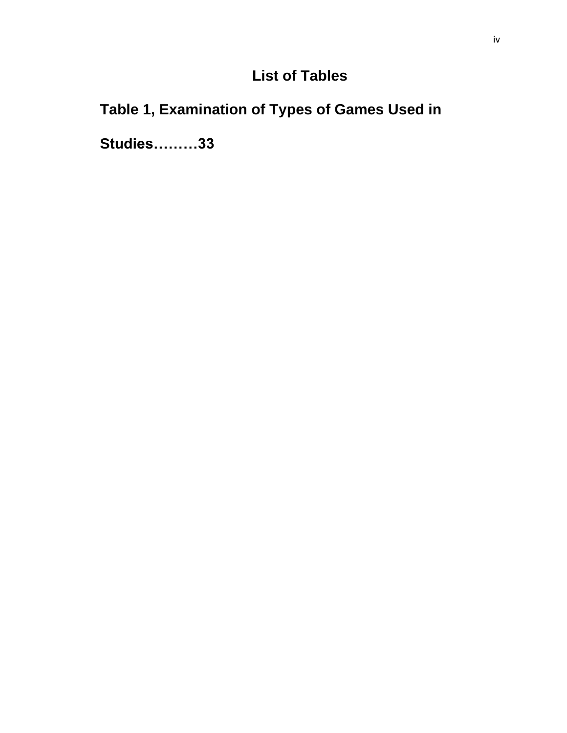# **List of Tables**

# **Table 1, Examination of Types of Games Used in**

**Studies………33**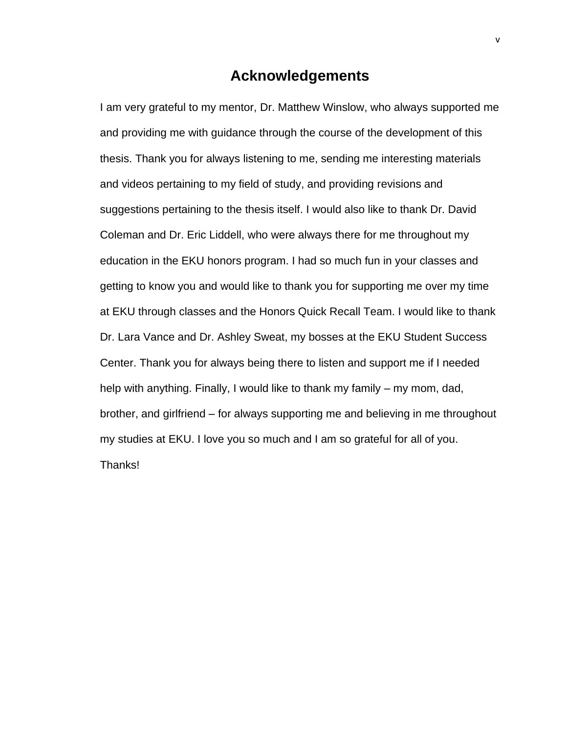### **Acknowledgements**

I am very grateful to my mentor, Dr. Matthew Winslow, who always supported me and providing me with guidance through the course of the development of this thesis. Thank you for always listening to me, sending me interesting materials and videos pertaining to my field of study, and providing revisions and suggestions pertaining to the thesis itself. I would also like to thank Dr. David Coleman and Dr. Eric Liddell, who were always there for me throughout my education in the EKU honors program. I had so much fun in your classes and getting to know you and would like to thank you for supporting me over my time at EKU through classes and the Honors Quick Recall Team. I would like to thank Dr. Lara Vance and Dr. Ashley Sweat, my bosses at the EKU Student Success Center. Thank you for always being there to listen and support me if I needed help with anything. Finally, I would like to thank my family – my mom, dad, brother, and girlfriend – for always supporting me and believing in me throughout my studies at EKU. I love you so much and I am so grateful for all of you. Thanks!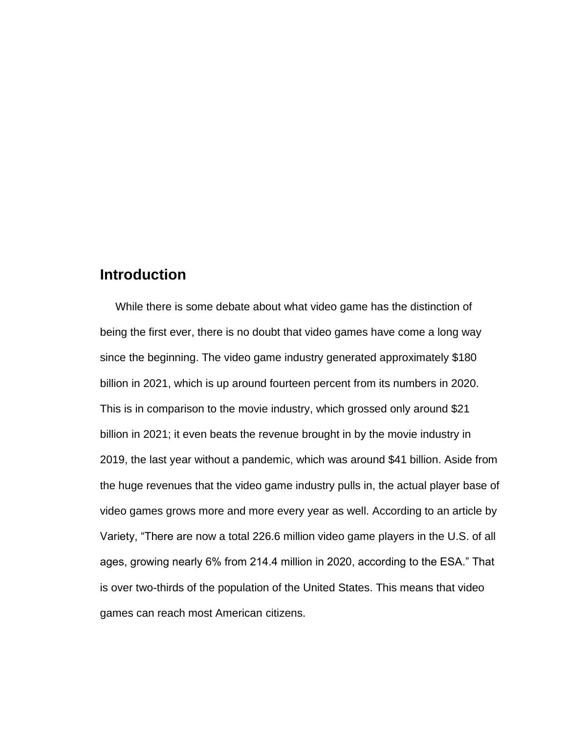## <span id="page-6-0"></span>**Introduction**

 While there is some debate about what video game has the distinction of being the first ever, there is no doubt that video games have come a long way since the beginning. The video game industry generated approximately \$180 billion in 2021, which is up around fourteen percent from its numbers in 2020. This is in comparison to the movie industry, which grossed only around \$21 billion in 2021; it even beats the revenue brought in by the movie industry in 2019, the last year without a pandemic, which was around \$41 billion. Aside from the huge revenues that the video game industry pulls in, the actual player base of video games grows more and more every year as well. According to an article by Variety, "There are now a total 226.6 million video game players in the U.S. of all ages, growing nearly 6% from 214.4 million in 2020, according to the ESA." That is over two-thirds of the population of the United States. This means that video games can reach most American citizens.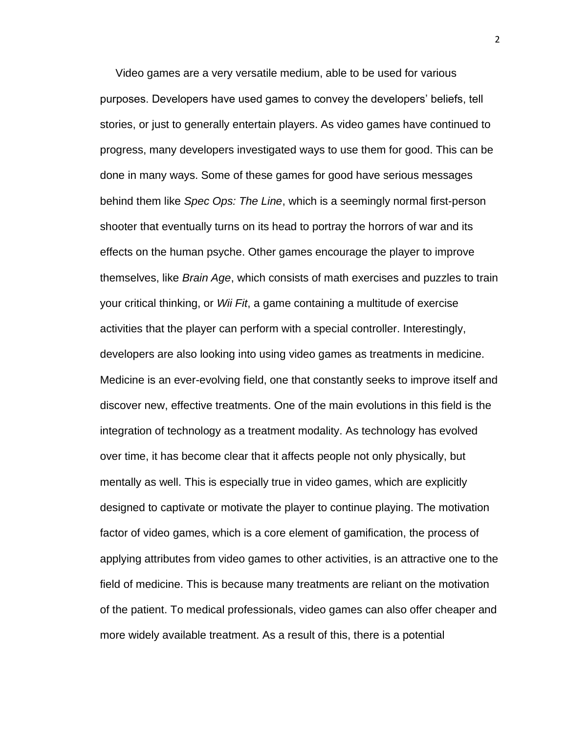Video games are a very versatile medium, able to be used for various purposes. Developers have used games to convey the developers' beliefs, tell stories, or just to generally entertain players. As video games have continued to progress, many developers investigated ways to use them for good. This can be done in many ways. Some of these games for good have serious messages behind them like *Spec Ops: The Line*, which is a seemingly normal first-person shooter that eventually turns on its head to portray the horrors of war and its effects on the human psyche. Other games encourage the player to improve themselves, like *Brain Age*, which consists of math exercises and puzzles to train your critical thinking, or *Wii Fit*, a game containing a multitude of exercise activities that the player can perform with a special controller. Interestingly, developers are also looking into using video games as treatments in medicine. Medicine is an ever-evolving field, one that constantly seeks to improve itself and discover new, effective treatments. One of the main evolutions in this field is the integration of technology as a treatment modality. As technology has evolved over time, it has become clear that it affects people not only physically, but mentally as well. This is especially true in video games, which are explicitly designed to captivate or motivate the player to continue playing. The motivation factor of video games, which is a core element of gamification, the process of applying attributes from video games to other activities, is an attractive one to the field of medicine. This is because many treatments are reliant on the motivation of the patient. To medical professionals, video games can also offer cheaper and more widely available treatment. As a result of this, there is a potential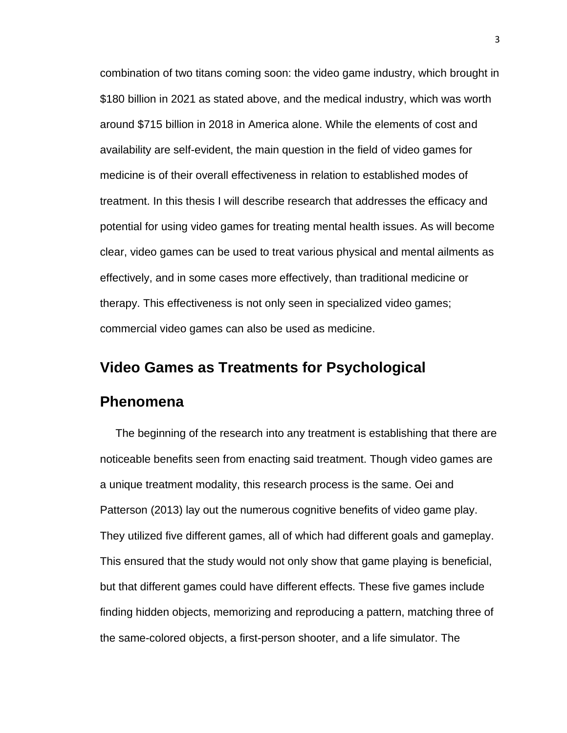combination of two titans coming soon: the video game industry, which brought in \$180 billion in 2021 as stated above, and the medical industry, which was worth around \$715 billion in 2018 in America alone. While the elements of cost and availability are self-evident, the main question in the field of video games for medicine is of their overall effectiveness in relation to established modes of treatment. In this thesis I will describe research that addresses the efficacy and potential for using video games for treating mental health issues. As will become clear, video games can be used to treat various physical and mental ailments as effectively, and in some cases more effectively, than traditional medicine or therapy. This effectiveness is not only seen in specialized video games; commercial video games can also be used as medicine.

# <span id="page-8-0"></span>**Video Games as Treatments for Psychological**

#### **Phenomena**

 The beginning of the research into any treatment is establishing that there are noticeable benefits seen from enacting said treatment. Though video games are a unique treatment modality, this research process is the same. Oei and Patterson (2013) lay out the numerous cognitive benefits of video game play. They utilized five different games, all of which had different goals and gameplay. This ensured that the study would not only show that game playing is beneficial, but that different games could have different effects. These five games include finding hidden objects, memorizing and reproducing a pattern, matching three of the same-colored objects, a first-person shooter, and a life simulator. The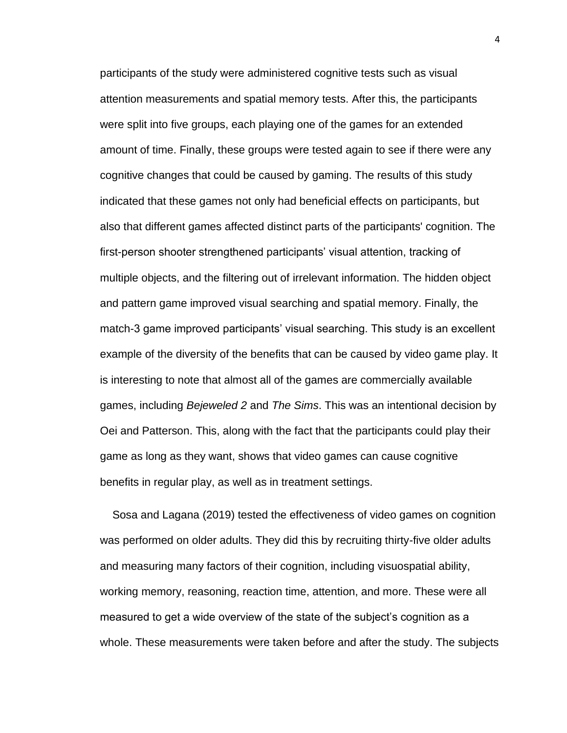participants of the study were administered cognitive tests such as visual attention measurements and spatial memory tests. After this, the participants were split into five groups, each playing one of the games for an extended amount of time. Finally, these groups were tested again to see if there were any cognitive changes that could be caused by gaming. The results of this study indicated that these games not only had beneficial effects on participants, but also that different games affected distinct parts of the participants' cognition. The first-person shooter strengthened participants' visual attention, tracking of multiple objects, and the filtering out of irrelevant information. The hidden object and pattern game improved visual searching and spatial memory. Finally, the match-3 game improved participants' visual searching. This study is an excellent example of the diversity of the benefits that can be caused by video game play. It is interesting to note that almost all of the games are commercially available games, including *Bejeweled 2* and *The Sims*. This was an intentional decision by Oei and Patterson. This, along with the fact that the participants could play their game as long as they want, shows that video games can cause cognitive benefits in regular play, as well as in treatment settings.

 Sosa and Lagana (2019) tested the effectiveness of video games on cognition was performed on older adults. They did this by recruiting thirty-five older adults and measuring many factors of their cognition, including visuospatial ability, working memory, reasoning, reaction time, attention, and more. These were all measured to get a wide overview of the state of the subject's cognition as a whole. These measurements were taken before and after the study. The subjects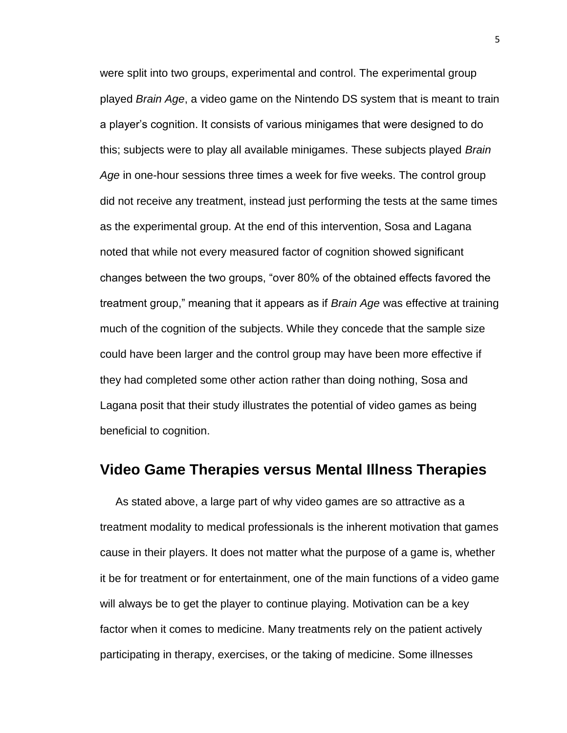were split into two groups, experimental and control. The experimental group played *Brain Age*, a video game on the Nintendo DS system that is meant to train a player's cognition. It consists of various minigames that were designed to do this; subjects were to play all available minigames. These subjects played *Brain Age* in one-hour sessions three times a week for five weeks. The control group did not receive any treatment, instead just performing the tests at the same times as the experimental group. At the end of this intervention, Sosa and Lagana noted that while not every measured factor of cognition showed significant changes between the two groups, "over 80% of the obtained effects favored the treatment group," meaning that it appears as if *Brain Age* was effective at training much of the cognition of the subjects. While they concede that the sample size could have been larger and the control group may have been more effective if they had completed some other action rather than doing nothing, Sosa and Lagana posit that their study illustrates the potential of video games as being beneficial to cognition.

### <span id="page-10-0"></span>**Video Game Therapies versus Mental Illness Therapies**

 As stated above, a large part of why video games are so attractive as a treatment modality to medical professionals is the inherent motivation that games cause in their players. It does not matter what the purpose of a game is, whether it be for treatment or for entertainment, one of the main functions of a video game will always be to get the player to continue playing. Motivation can be a key factor when it comes to medicine. Many treatments rely on the patient actively participating in therapy, exercises, or the taking of medicine. Some illnesses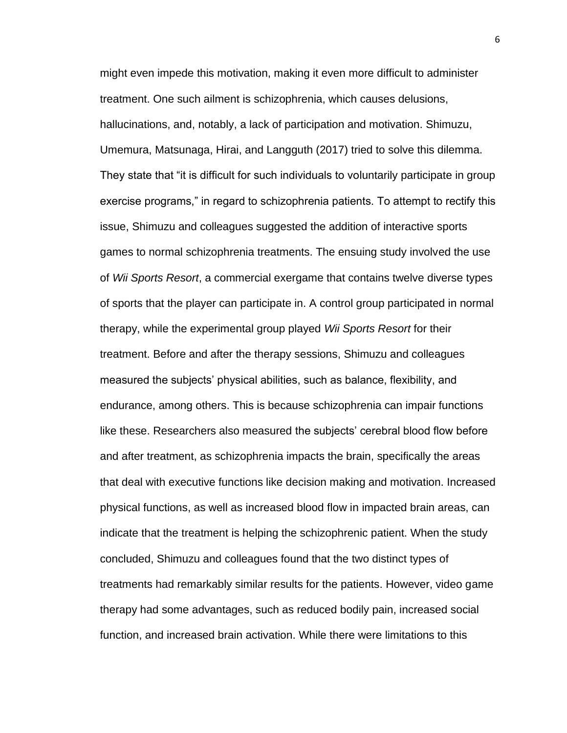might even impede this motivation, making it even more difficult to administer treatment. One such ailment is schizophrenia, which causes delusions, hallucinations, and, notably, a lack of participation and motivation. Shimuzu, Umemura, Matsunaga, Hirai, and Langguth (2017) tried to solve this dilemma. They state that "it is difficult for such individuals to voluntarily participate in group exercise programs," in regard to schizophrenia patients. To attempt to rectify this issue, Shimuzu and colleagues suggested the addition of interactive sports games to normal schizophrenia treatments. The ensuing study involved the use of *Wii Sports Resort*, a commercial exergame that contains twelve diverse types of sports that the player can participate in. A control group participated in normal therapy, while the experimental group played *Wii Sports Resort* for their treatment. Before and after the therapy sessions, Shimuzu and colleagues measured the subjects' physical abilities, such as balance, flexibility, and endurance, among others. This is because schizophrenia can impair functions like these. Researchers also measured the subjects' cerebral blood flow before and after treatment, as schizophrenia impacts the brain, specifically the areas that deal with executive functions like decision making and motivation. Increased physical functions, as well as increased blood flow in impacted brain areas, can indicate that the treatment is helping the schizophrenic patient. When the study concluded, Shimuzu and colleagues found that the two distinct types of treatments had remarkably similar results for the patients. However, video game therapy had some advantages, such as reduced bodily pain, increased social function, and increased brain activation. While there were limitations to this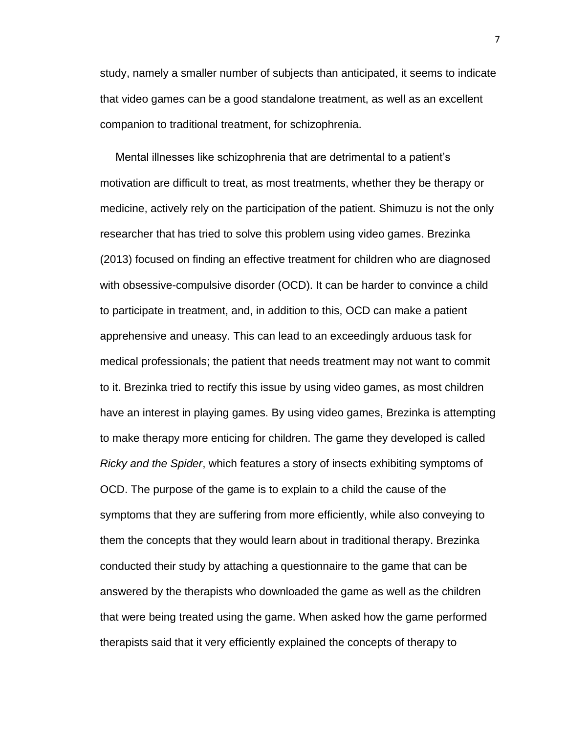study, namely a smaller number of subjects than anticipated, it seems to indicate that video games can be a good standalone treatment, as well as an excellent companion to traditional treatment, for schizophrenia.

 Mental illnesses like schizophrenia that are detrimental to a patient's motivation are difficult to treat, as most treatments, whether they be therapy or medicine, actively rely on the participation of the patient. Shimuzu is not the only researcher that has tried to solve this problem using video games. Brezinka (2013) focused on finding an effective treatment for children who are diagnosed with obsessive-compulsive disorder (OCD). It can be harder to convince a child to participate in treatment, and, in addition to this, OCD can make a patient apprehensive and uneasy. This can lead to an exceedingly arduous task for medical professionals; the patient that needs treatment may not want to commit to it. Brezinka tried to rectify this issue by using video games, as most children have an interest in playing games. By using video games, Brezinka is attempting to make therapy more enticing for children. The game they developed is called *Ricky and the Spider*, which features a story of insects exhibiting symptoms of OCD. The purpose of the game is to explain to a child the cause of the symptoms that they are suffering from more efficiently, while also conveying to them the concepts that they would learn about in traditional therapy. Brezinka conducted their study by attaching a questionnaire to the game that can be answered by the therapists who downloaded the game as well as the children that were being treated using the game. When asked how the game performed therapists said that it very efficiently explained the concepts of therapy to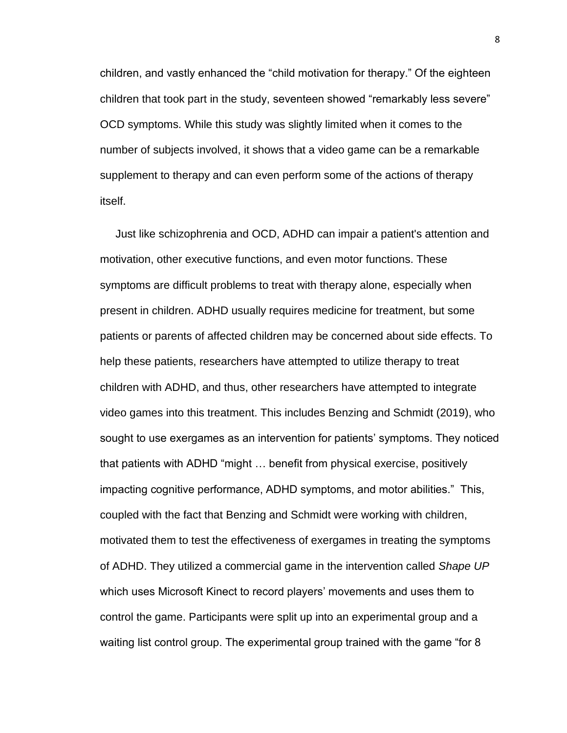children, and vastly enhanced the "child motivation for therapy." Of the eighteen children that took part in the study, seventeen showed "remarkably less severe" OCD symptoms. While this study was slightly limited when it comes to the number of subjects involved, it shows that a video game can be a remarkable supplement to therapy and can even perform some of the actions of therapy itself.

 Just like schizophrenia and OCD, ADHD can impair a patient's attention and motivation, other executive functions, and even motor functions. These symptoms are difficult problems to treat with therapy alone, especially when present in children. ADHD usually requires medicine for treatment, but some patients or parents of affected children may be concerned about side effects. To help these patients, researchers have attempted to utilize therapy to treat children with ADHD, and thus, other researchers have attempted to integrate video games into this treatment. This includes Benzing and Schmidt (2019), who sought to use exergames as an intervention for patients' symptoms. They noticed that patients with ADHD "might … benefit from physical exercise, positively impacting cognitive performance, ADHD symptoms, and motor abilities." This, coupled with the fact that Benzing and Schmidt were working with children, motivated them to test the effectiveness of exergames in treating the symptoms of ADHD. They utilized a commercial game in the intervention called *Shape UP* which uses Microsoft Kinect to record players' movements and uses them to control the game. Participants were split up into an experimental group and a waiting list control group. The experimental group trained with the game "for 8

8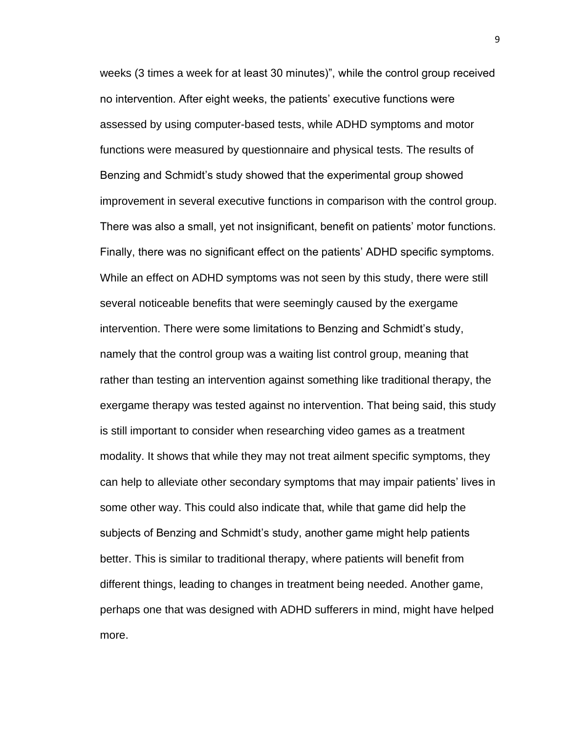weeks (3 times a week for at least 30 minutes)", while the control group received no intervention. After eight weeks, the patients' executive functions were assessed by using computer-based tests, while ADHD symptoms and motor functions were measured by questionnaire and physical tests. The results of Benzing and Schmidt's study showed that the experimental group showed improvement in several executive functions in comparison with the control group. There was also a small, yet not insignificant, benefit on patients' motor functions. Finally, there was no significant effect on the patients' ADHD specific symptoms. While an effect on ADHD symptoms was not seen by this study, there were still several noticeable benefits that were seemingly caused by the exergame intervention. There were some limitations to Benzing and Schmidt's study, namely that the control group was a waiting list control group, meaning that rather than testing an intervention against something like traditional therapy, the exergame therapy was tested against no intervention. That being said, this study is still important to consider when researching video games as a treatment modality. It shows that while they may not treat ailment specific symptoms, they can help to alleviate other secondary symptoms that may impair patients' lives in some other way. This could also indicate that, while that game did help the subjects of Benzing and Schmidt's study, another game might help patients better. This is similar to traditional therapy, where patients will benefit from different things, leading to changes in treatment being needed. Another game, perhaps one that was designed with ADHD sufferers in mind, might have helped more.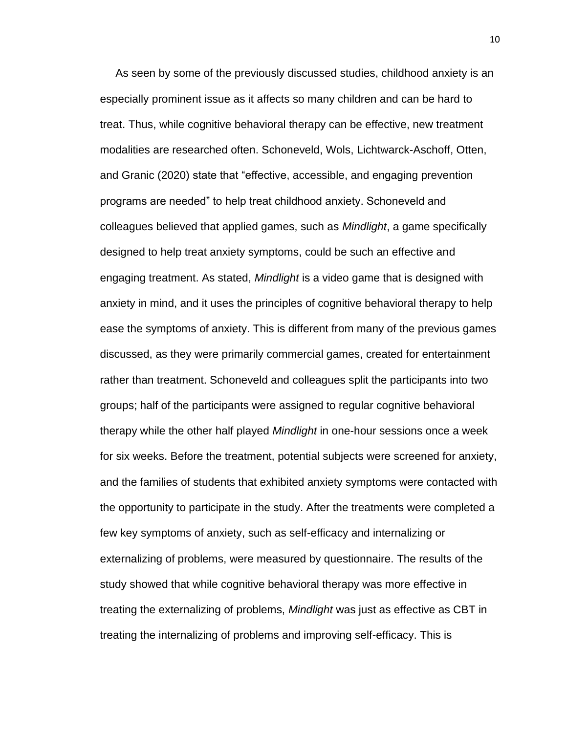As seen by some of the previously discussed studies, childhood anxiety is an especially prominent issue as it affects so many children and can be hard to treat. Thus, while cognitive behavioral therapy can be effective, new treatment modalities are researched often. Schoneveld, Wols, Lichtwarck-Aschoff, Otten, and Granic (2020) state that "effective, accessible, and engaging prevention programs are needed" to help treat childhood anxiety. Schoneveld and colleagues believed that applied games, such as *Mindlight*, a game specifically designed to help treat anxiety symptoms, could be such an effective and engaging treatment. As stated, *Mindlight* is a video game that is designed with anxiety in mind, and it uses the principles of cognitive behavioral therapy to help ease the symptoms of anxiety. This is different from many of the previous games discussed, as they were primarily commercial games, created for entertainment rather than treatment. Schoneveld and colleagues split the participants into two groups; half of the participants were assigned to regular cognitive behavioral therapy while the other half played *Mindlight* in one-hour sessions once a week for six weeks. Before the treatment, potential subjects were screened for anxiety, and the families of students that exhibited anxiety symptoms were contacted with the opportunity to participate in the study. After the treatments were completed a few key symptoms of anxiety, such as self-efficacy and internalizing or externalizing of problems, were measured by questionnaire. The results of the study showed that while cognitive behavioral therapy was more effective in treating the externalizing of problems, *Mindlight* was just as effective as CBT in treating the internalizing of problems and improving self-efficacy. This is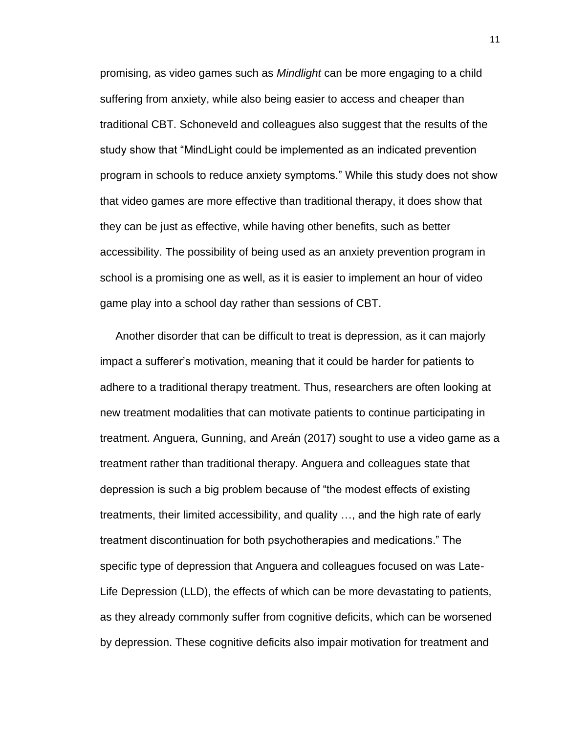promising, as video games such as *Mindlight* can be more engaging to a child suffering from anxiety, while also being easier to access and cheaper than traditional CBT. Schoneveld and colleagues also suggest that the results of the study show that "MindLight could be implemented as an indicated prevention program in schools to reduce anxiety symptoms." While this study does not show that video games are more effective than traditional therapy, it does show that they can be just as effective, while having other benefits, such as better accessibility. The possibility of being used as an anxiety prevention program in school is a promising one as well, as it is easier to implement an hour of video game play into a school day rather than sessions of CBT.

 Another disorder that can be difficult to treat is depression, as it can majorly impact a sufferer's motivation, meaning that it could be harder for patients to adhere to a traditional therapy treatment. Thus, researchers are often looking at new treatment modalities that can motivate patients to continue participating in treatment. Anguera, Gunning, and Areán (2017) sought to use a video game as a treatment rather than traditional therapy. Anguera and colleagues state that depression is such a big problem because of "the modest effects of existing treatments, their limited accessibility, and quality …, and the high rate of early treatment discontinuation for both psychotherapies and medications." The specific type of depression that Anguera and colleagues focused on was Late-Life Depression (LLD), the effects of which can be more devastating to patients, as they already commonly suffer from cognitive deficits, which can be worsened by depression. These cognitive deficits also impair motivation for treatment and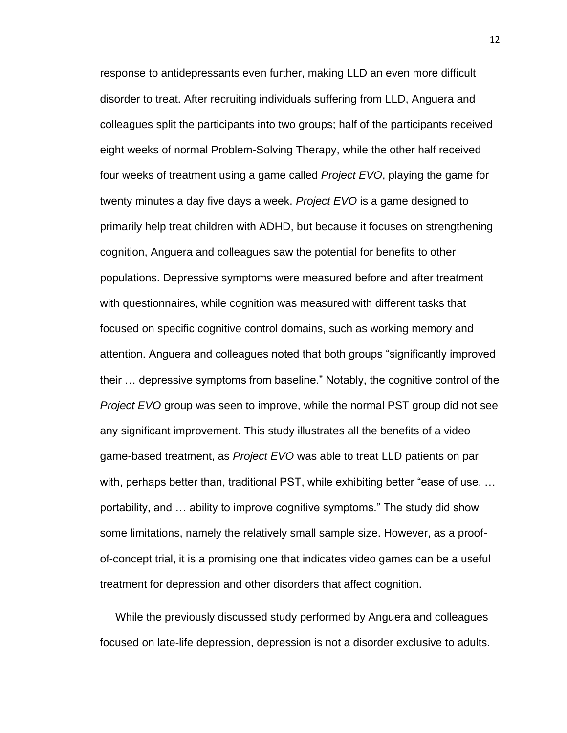response to antidepressants even further, making LLD an even more difficult disorder to treat. After recruiting individuals suffering from LLD, Anguera and colleagues split the participants into two groups; half of the participants received eight weeks of normal Problem-Solving Therapy, while the other half received four weeks of treatment using a game called *Project EVO*, playing the game for twenty minutes a day five days a week. *Project EVO* is a game designed to primarily help treat children with ADHD, but because it focuses on strengthening cognition, Anguera and colleagues saw the potential for benefits to other populations. Depressive symptoms were measured before and after treatment with questionnaires, while cognition was measured with different tasks that focused on specific cognitive control domains, such as working memory and attention. Anguera and colleagues noted that both groups "significantly improved their … depressive symptoms from baseline." Notably, the cognitive control of the *Project EVO* group was seen to improve, while the normal PST group did not see any significant improvement. This study illustrates all the benefits of a video game-based treatment, as *Project EVO* was able to treat LLD patients on par with, perhaps better than, traditional PST, while exhibiting better "ease of use, … portability, and … ability to improve cognitive symptoms." The study did show some limitations, namely the relatively small sample size. However, as a proofof-concept trial, it is a promising one that indicates video games can be a useful treatment for depression and other disorders that affect cognition.

 While the previously discussed study performed by Anguera and colleagues focused on late-life depression, depression is not a disorder exclusive to adults.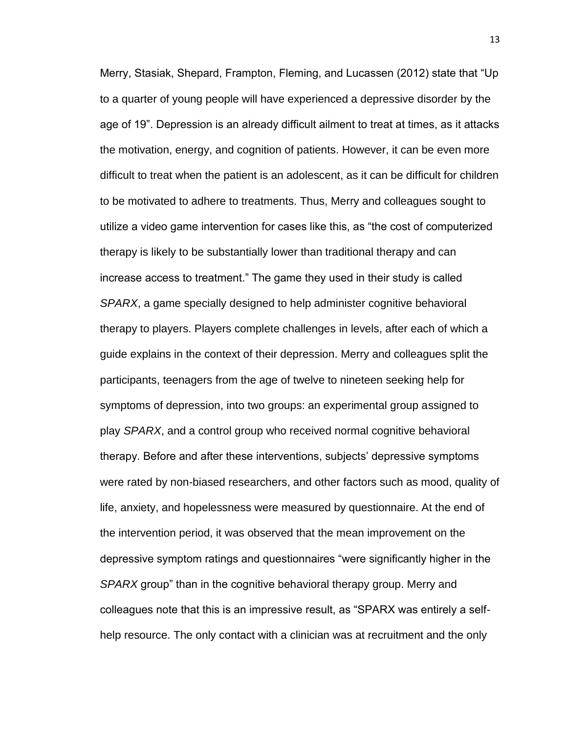Merry, Stasiak, Shepard, Frampton, Fleming, and Lucassen (2012) state that "Up to a quarter of young people will have experienced a depressive disorder by the age of 19". Depression is an already difficult ailment to treat at times, as it attacks the motivation, energy, and cognition of patients. However, it can be even more difficult to treat when the patient is an adolescent, as it can be difficult for children to be motivated to adhere to treatments. Thus, Merry and colleagues sought to utilize a video game intervention for cases like this, as "the cost of computerized therapy is likely to be substantially lower than traditional therapy and can increase access to treatment." The game they used in their study is called *SPARX*, a game specially designed to help administer cognitive behavioral therapy to players. Players complete challenges in levels, after each of which a guide explains in the context of their depression. Merry and colleagues split the participants, teenagers from the age of twelve to nineteen seeking help for symptoms of depression, into two groups: an experimental group assigned to play *SPARX*, and a control group who received normal cognitive behavioral therapy. Before and after these interventions, subjects' depressive symptoms were rated by non-biased researchers, and other factors such as mood, quality of life, anxiety, and hopelessness were measured by questionnaire. At the end of the intervention period, it was observed that the mean improvement on the depressive symptom ratings and questionnaires "were significantly higher in the *SPARX* group" than in the cognitive behavioral therapy group. Merry and colleagues note that this is an impressive result, as "SPARX was entirely a selfhelp resource. The only contact with a clinician was at recruitment and the only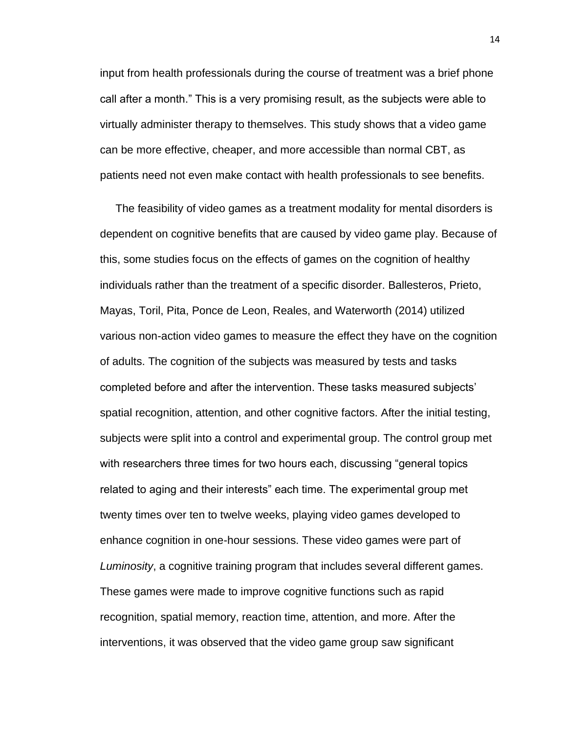input from health professionals during the course of treatment was a brief phone call after a month." This is a very promising result, as the subjects were able to virtually administer therapy to themselves. This study shows that a video game can be more effective, cheaper, and more accessible than normal CBT, as patients need not even make contact with health professionals to see benefits.

 The feasibility of video games as a treatment modality for mental disorders is dependent on cognitive benefits that are caused by video game play. Because of this, some studies focus on the effects of games on the cognition of healthy individuals rather than the treatment of a specific disorder. Ballesteros, Prieto, Mayas, Toril, Pita, Ponce de Leon, Reales, and Waterworth (2014) utilized various non-action video games to measure the effect they have on the cognition of adults. The cognition of the subjects was measured by tests and tasks completed before and after the intervention. These tasks measured subjects' spatial recognition, attention, and other cognitive factors. After the initial testing, subjects were split into a control and experimental group. The control group met with researchers three times for two hours each, discussing "general topics related to aging and their interests" each time. The experimental group met twenty times over ten to twelve weeks, playing video games developed to enhance cognition in one-hour sessions. These video games were part of *Luminosity*, a cognitive training program that includes several different games. These games were made to improve cognitive functions such as rapid recognition, spatial memory, reaction time, attention, and more. After the interventions, it was observed that the video game group saw significant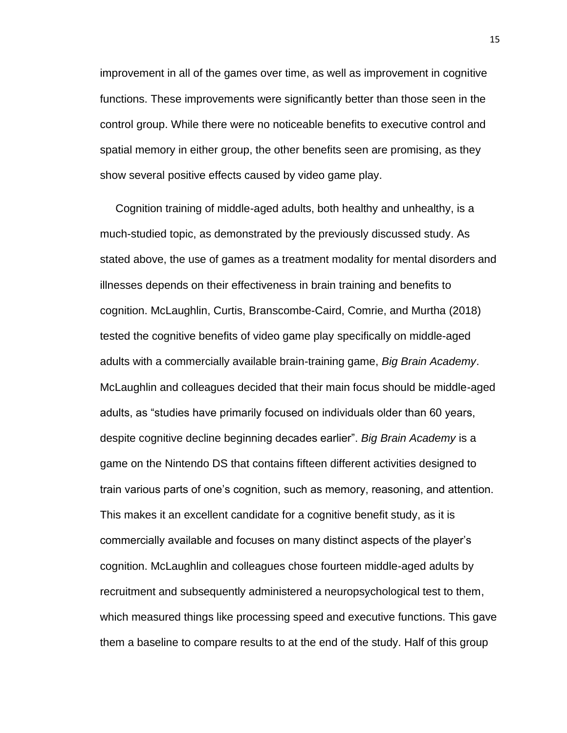improvement in all of the games over time, as well as improvement in cognitive functions. These improvements were significantly better than those seen in the control group. While there were no noticeable benefits to executive control and spatial memory in either group, the other benefits seen are promising, as they show several positive effects caused by video game play.

 Cognition training of middle-aged adults, both healthy and unhealthy, is a much-studied topic, as demonstrated by the previously discussed study. As stated above, the use of games as a treatment modality for mental disorders and illnesses depends on their effectiveness in brain training and benefits to cognition. McLaughlin, Curtis, Branscombe-Caird, Comrie, and Murtha (2018) tested the cognitive benefits of video game play specifically on middle-aged adults with a commercially available brain-training game, *Big Brain Academy*. McLaughlin and colleagues decided that their main focus should be middle-aged adults, as "studies have primarily focused on individuals older than 60 years, despite cognitive decline beginning decades earlier". *Big Brain Academy* is a game on the Nintendo DS that contains fifteen different activities designed to train various parts of one's cognition, such as memory, reasoning, and attention. This makes it an excellent candidate for a cognitive benefit study, as it is commercially available and focuses on many distinct aspects of the player's cognition. McLaughlin and colleagues chose fourteen middle-aged adults by recruitment and subsequently administered a neuropsychological test to them, which measured things like processing speed and executive functions. This gave them a baseline to compare results to at the end of the study. Half of this group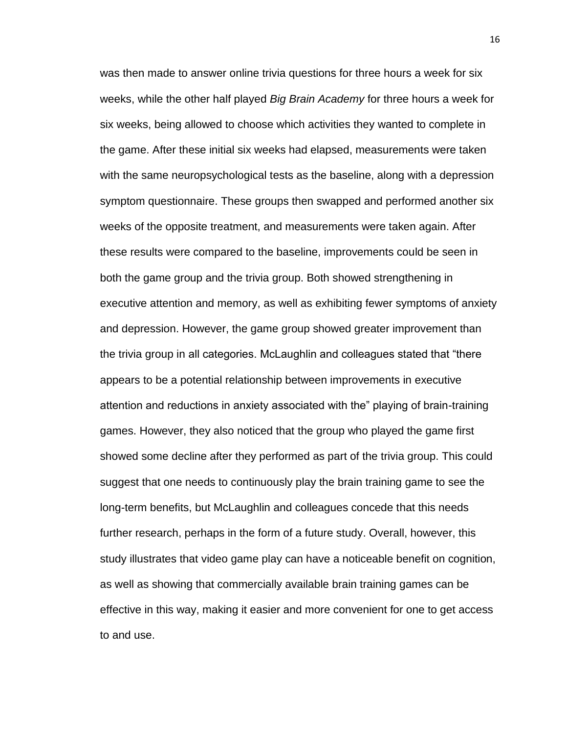was then made to answer online trivia questions for three hours a week for six weeks, while the other half played *Big Brain Academy* for three hours a week for six weeks, being allowed to choose which activities they wanted to complete in the game. After these initial six weeks had elapsed, measurements were taken with the same neuropsychological tests as the baseline, along with a depression symptom questionnaire. These groups then swapped and performed another six weeks of the opposite treatment, and measurements were taken again. After these results were compared to the baseline, improvements could be seen in both the game group and the trivia group. Both showed strengthening in executive attention and memory, as well as exhibiting fewer symptoms of anxiety and depression. However, the game group showed greater improvement than the trivia group in all categories. McLaughlin and colleagues stated that "there appears to be a potential relationship between improvements in executive attention and reductions in anxiety associated with the" playing of brain-training games. However, they also noticed that the group who played the game first showed some decline after they performed as part of the trivia group. This could suggest that one needs to continuously play the brain training game to see the long-term benefits, but McLaughlin and colleagues concede that this needs further research, perhaps in the form of a future study. Overall, however, this study illustrates that video game play can have a noticeable benefit on cognition, as well as showing that commercially available brain training games can be effective in this way, making it easier and more convenient for one to get access to and use.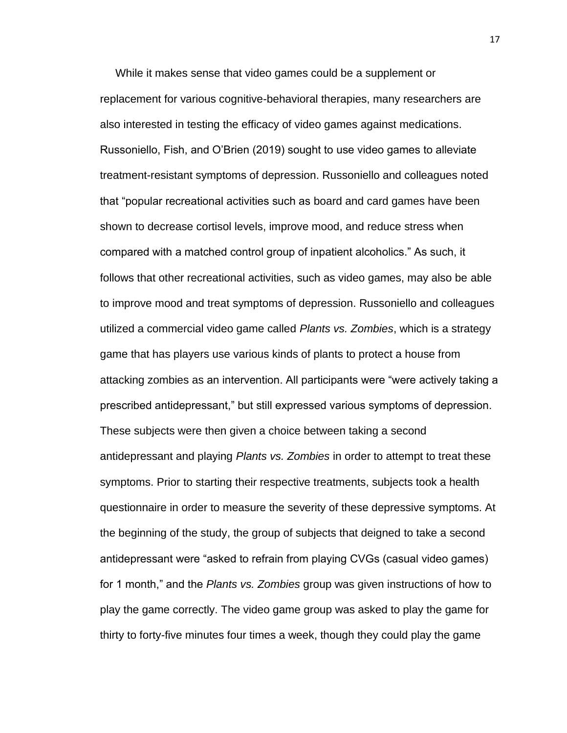While it makes sense that video games could be a supplement or replacement for various cognitive-behavioral therapies, many researchers are also interested in testing the efficacy of video games against medications. Russoniello, Fish, and O'Brien (2019) sought to use video games to alleviate treatment-resistant symptoms of depression. Russoniello and colleagues noted that "popular recreational activities such as board and card games have been shown to decrease cortisol levels, improve mood, and reduce stress when compared with a matched control group of inpatient alcoholics." As such, it follows that other recreational activities, such as video games, may also be able to improve mood and treat symptoms of depression. Russoniello and colleagues utilized a commercial video game called *Plants vs. Zombies*, which is a strategy game that has players use various kinds of plants to protect a house from attacking zombies as an intervention. All participants were "were actively taking a prescribed antidepressant," but still expressed various symptoms of depression. These subjects were then given a choice between taking a second antidepressant and playing *Plants vs. Zombies* in order to attempt to treat these symptoms. Prior to starting their respective treatments, subjects took a health questionnaire in order to measure the severity of these depressive symptoms. At the beginning of the study, the group of subjects that deigned to take a second antidepressant were "asked to refrain from playing CVGs (casual video games) for 1 month," and the *Plants vs. Zombies* group was given instructions of how to play the game correctly. The video game group was asked to play the game for thirty to forty-five minutes four times a week, though they could play the game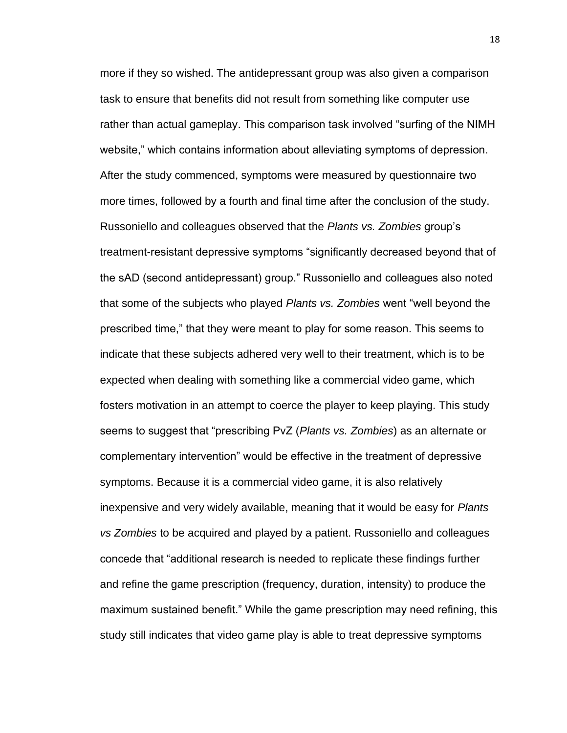more if they so wished. The antidepressant group was also given a comparison task to ensure that benefits did not result from something like computer use rather than actual gameplay. This comparison task involved "surfing of the NIMH website," which contains information about alleviating symptoms of depression. After the study commenced, symptoms were measured by questionnaire two more times, followed by a fourth and final time after the conclusion of the study. Russoniello and colleagues observed that the *Plants vs. Zombies* group's treatment-resistant depressive symptoms "significantly decreased beyond that of the sAD (second antidepressant) group." Russoniello and colleagues also noted that some of the subjects who played *Plants vs. Zombies* went "well beyond the prescribed time," that they were meant to play for some reason. This seems to indicate that these subjects adhered very well to their treatment, which is to be expected when dealing with something like a commercial video game, which fosters motivation in an attempt to coerce the player to keep playing. This study seems to suggest that "prescribing PvZ (*Plants vs. Zombies*) as an alternate or complementary intervention" would be effective in the treatment of depressive symptoms. Because it is a commercial video game, it is also relatively inexpensive and very widely available, meaning that it would be easy for *Plants vs Zombies* to be acquired and played by a patient. Russoniello and colleagues concede that "additional research is needed to replicate these findings further and refine the game prescription (frequency, duration, intensity) to produce the maximum sustained benefit." While the game prescription may need refining, this study still indicates that video game play is able to treat depressive symptoms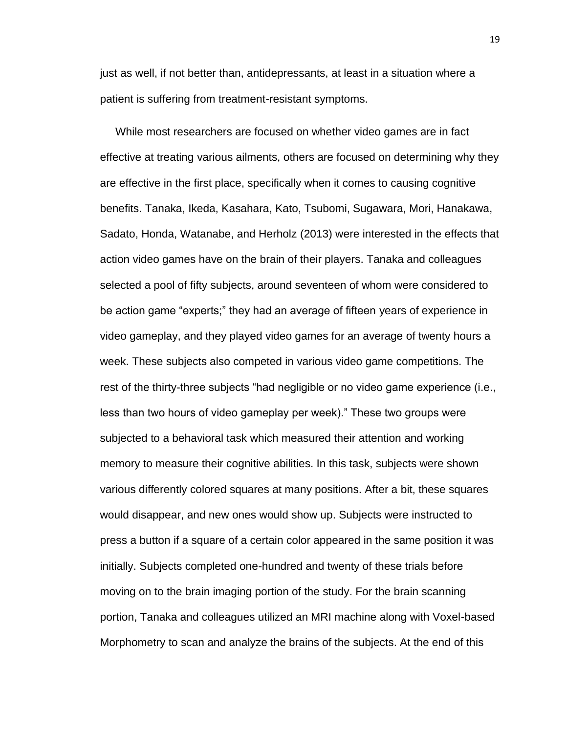just as well, if not better than, antidepressants, at least in a situation where a patient is suffering from treatment-resistant symptoms.

 While most researchers are focused on whether video games are in fact effective at treating various ailments, others are focused on determining why they are effective in the first place, specifically when it comes to causing cognitive benefits. Tanaka, Ikeda, Kasahara, Kato, Tsubomi, Sugawara, Mori, Hanakawa, Sadato, Honda, Watanabe, and Herholz (2013) were interested in the effects that action video games have on the brain of their players. Tanaka and colleagues selected a pool of fifty subjects, around seventeen of whom were considered to be action game "experts;" they had an average of fifteen years of experience in video gameplay, and they played video games for an average of twenty hours a week. These subjects also competed in various video game competitions. The rest of the thirty-three subjects "had negligible or no video game experience (i.e., less than two hours of video gameplay per week)." These two groups were subjected to a behavioral task which measured their attention and working memory to measure their cognitive abilities. In this task, subjects were shown various differently colored squares at many positions. After a bit, these squares would disappear, and new ones would show up. Subjects were instructed to press a button if a square of a certain color appeared in the same position it was initially. Subjects completed one-hundred and twenty of these trials before moving on to the brain imaging portion of the study. For the brain scanning portion, Tanaka and colleagues utilized an MRI machine along with Voxel-based Morphometry to scan and analyze the brains of the subjects. At the end of this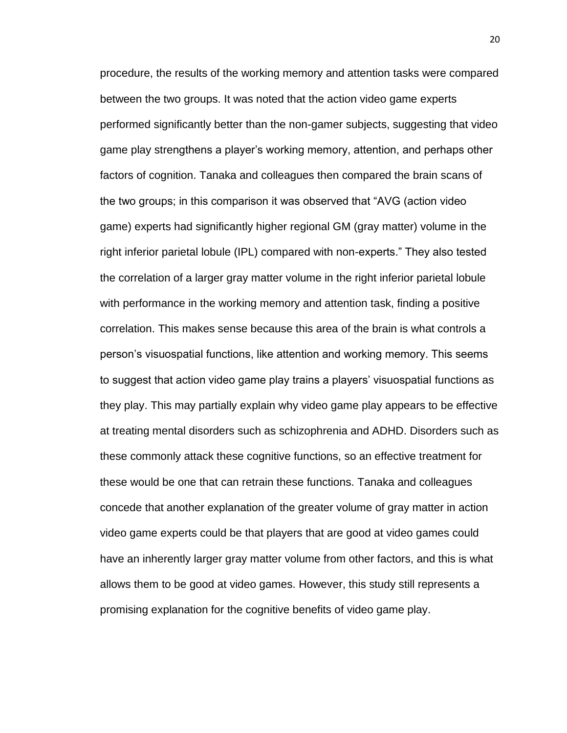procedure, the results of the working memory and attention tasks were compared between the two groups. It was noted that the action video game experts performed significantly better than the non-gamer subjects, suggesting that video game play strengthens a player's working memory, attention, and perhaps other factors of cognition. Tanaka and colleagues then compared the brain scans of the two groups; in this comparison it was observed that "AVG (action video game) experts had significantly higher regional GM (gray matter) volume in the right inferior parietal lobule (IPL) compared with non-experts." They also tested the correlation of a larger gray matter volume in the right inferior parietal lobule with performance in the working memory and attention task, finding a positive correlation. This makes sense because this area of the brain is what controls a person's visuospatial functions, like attention and working memory. This seems to suggest that action video game play trains a players' visuospatial functions as they play. This may partially explain why video game play appears to be effective at treating mental disorders such as schizophrenia and ADHD. Disorders such as these commonly attack these cognitive functions, so an effective treatment for these would be one that can retrain these functions. Tanaka and colleagues concede that another explanation of the greater volume of gray matter in action video game experts could be that players that are good at video games could have an inherently larger gray matter volume from other factors, and this is what allows them to be good at video games. However, this study still represents a promising explanation for the cognitive benefits of video game play.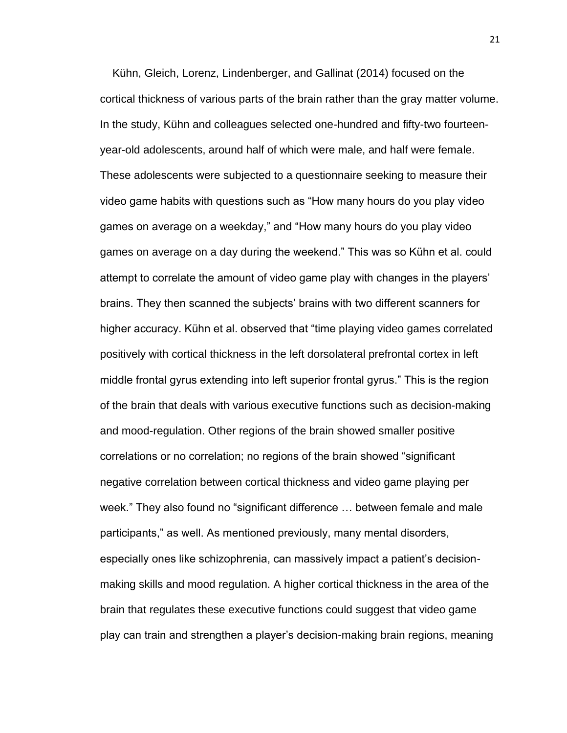Kühn, Gleich, Lorenz, Lindenberger, and Gallinat (2014) focused on the cortical thickness of various parts of the brain rather than the gray matter volume. In the study, Kühn and colleagues selected one-hundred and fifty-two fourteenyear-old adolescents, around half of which were male, and half were female. These adolescents were subjected to a questionnaire seeking to measure their video game habits with questions such as "How many hours do you play video games on average on a weekday," and "How many hours do you play video games on average on a day during the weekend." This was so Kühn et al. could attempt to correlate the amount of video game play with changes in the players' brains. They then scanned the subjects' brains with two different scanners for higher accuracy. Kühn et al. observed that "time playing video games correlated positively with cortical thickness in the left dorsolateral prefrontal cortex in left middle frontal gyrus extending into left superior frontal gyrus." This is the region of the brain that deals with various executive functions such as decision-making and mood-regulation. Other regions of the brain showed smaller positive correlations or no correlation; no regions of the brain showed "significant negative correlation between cortical thickness and video game playing per week." They also found no "significant difference … between female and male participants," as well. As mentioned previously, many mental disorders, especially ones like schizophrenia, can massively impact a patient's decisionmaking skills and mood regulation. A higher cortical thickness in the area of the brain that regulates these executive functions could suggest that video game play can train and strengthen a player's decision-making brain regions, meaning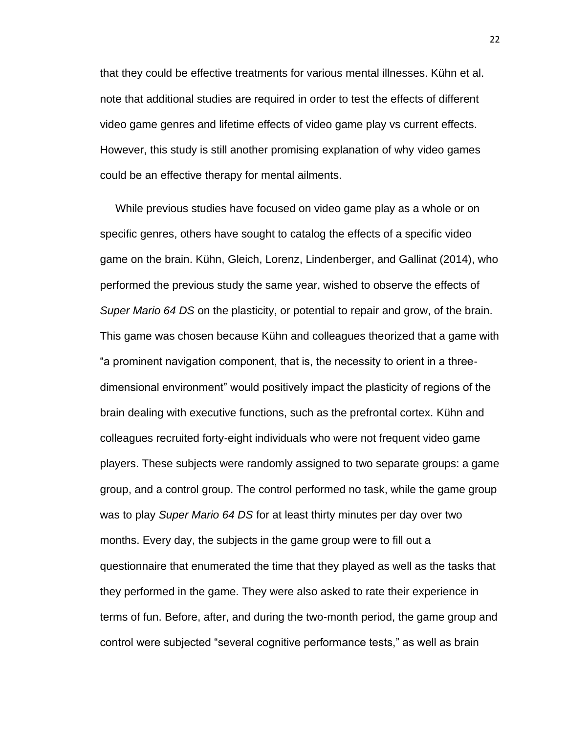that they could be effective treatments for various mental illnesses. Kühn et al. note that additional studies are required in order to test the effects of different video game genres and lifetime effects of video game play vs current effects. However, this study is still another promising explanation of why video games could be an effective therapy for mental ailments.

 While previous studies have focused on video game play as a whole or on specific genres, others have sought to catalog the effects of a specific video game on the brain. Kühn, Gleich, Lorenz, Lindenberger, and Gallinat (2014), who performed the previous study the same year, wished to observe the effects of *Super Mario 64 DS* on the plasticity, or potential to repair and grow, of the brain. This game was chosen because Kühn and colleagues theorized that a game with "a prominent navigation component, that is, the necessity to orient in a threedimensional environment" would positively impact the plasticity of regions of the brain dealing with executive functions, such as the prefrontal cortex. Kühn and colleagues recruited forty-eight individuals who were not frequent video game players. These subjects were randomly assigned to two separate groups: a game group, and a control group. The control performed no task, while the game group was to play *Super Mario 64 DS* for at least thirty minutes per day over two months. Every day, the subjects in the game group were to fill out a questionnaire that enumerated the time that they played as well as the tasks that they performed in the game. They were also asked to rate their experience in terms of fun. Before, after, and during the two-month period, the game group and control were subjected "several cognitive performance tests," as well as brain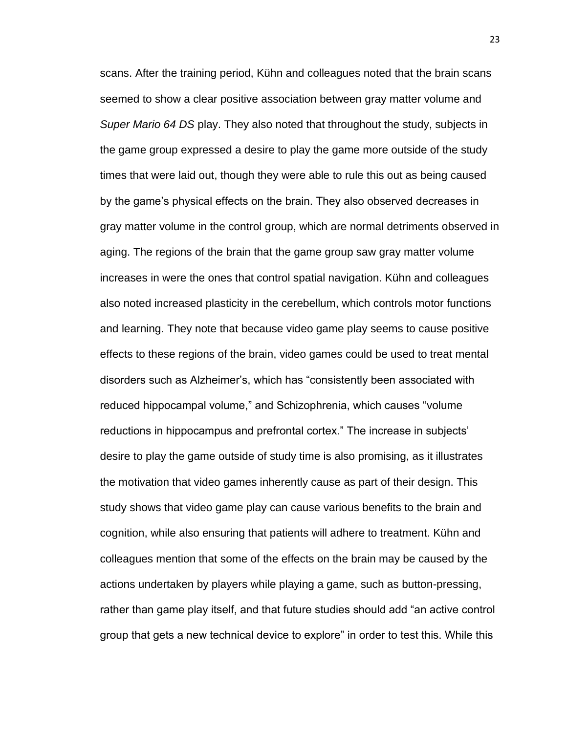scans. After the training period, Kühn and colleagues noted that the brain scans seemed to show a clear positive association between gray matter volume and *Super Mario 64 DS* play. They also noted that throughout the study, subjects in the game group expressed a desire to play the game more outside of the study times that were laid out, though they were able to rule this out as being caused by the game's physical effects on the brain. They also observed decreases in gray matter volume in the control group, which are normal detriments observed in aging. The regions of the brain that the game group saw gray matter volume increases in were the ones that control spatial navigation. Kühn and colleagues also noted increased plasticity in the cerebellum, which controls motor functions and learning. They note that because video game play seems to cause positive effects to these regions of the brain, video games could be used to treat mental disorders such as Alzheimer's, which has "consistently been associated with reduced hippocampal volume," and Schizophrenia, which causes "volume reductions in hippocampus and prefrontal cortex." The increase in subjects' desire to play the game outside of study time is also promising, as it illustrates the motivation that video games inherently cause as part of their design. This study shows that video game play can cause various benefits to the brain and cognition, while also ensuring that patients will adhere to treatment. Kühn and colleagues mention that some of the effects on the brain may be caused by the actions undertaken by players while playing a game, such as button-pressing, rather than game play itself, and that future studies should add "an active control group that gets a new technical device to explore" in order to test this. While this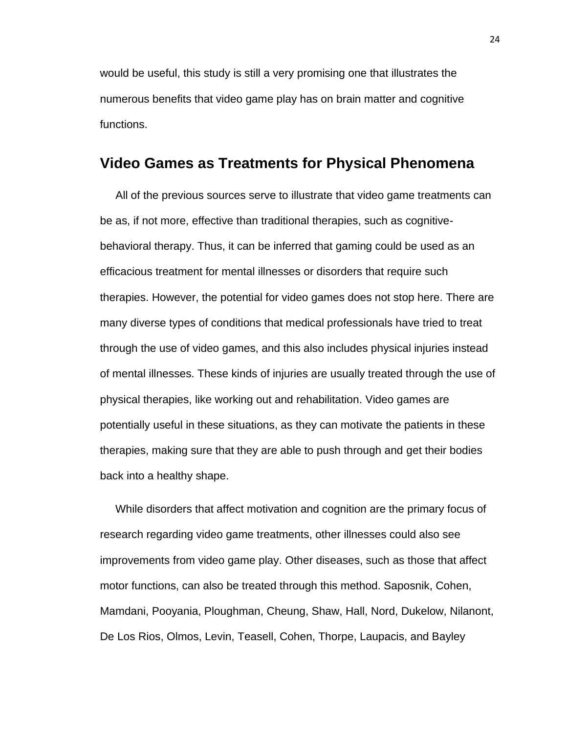would be useful, this study is still a very promising one that illustrates the numerous benefits that video game play has on brain matter and cognitive functions.

## <span id="page-29-0"></span>**Video Games as Treatments for Physical Phenomena**

 All of the previous sources serve to illustrate that video game treatments can be as, if not more, effective than traditional therapies, such as cognitivebehavioral therapy. Thus, it can be inferred that gaming could be used as an efficacious treatment for mental illnesses or disorders that require such therapies. However, the potential for video games does not stop here. There are many diverse types of conditions that medical professionals have tried to treat through the use of video games, and this also includes physical injuries instead of mental illnesses. These kinds of injuries are usually treated through the use of physical therapies, like working out and rehabilitation. Video games are potentially useful in these situations, as they can motivate the patients in these therapies, making sure that they are able to push through and get their bodies back into a healthy shape.

 While disorders that affect motivation and cognition are the primary focus of research regarding video game treatments, other illnesses could also see improvements from video game play. Other diseases, such as those that affect motor functions, can also be treated through this method. Saposnik, Cohen, Mamdani, Pooyania, Ploughman, Cheung, Shaw, Hall, Nord, Dukelow, Nilanont, De Los Rios, Olmos, Levin, Teasell, Cohen, Thorpe, Laupacis, and Bayley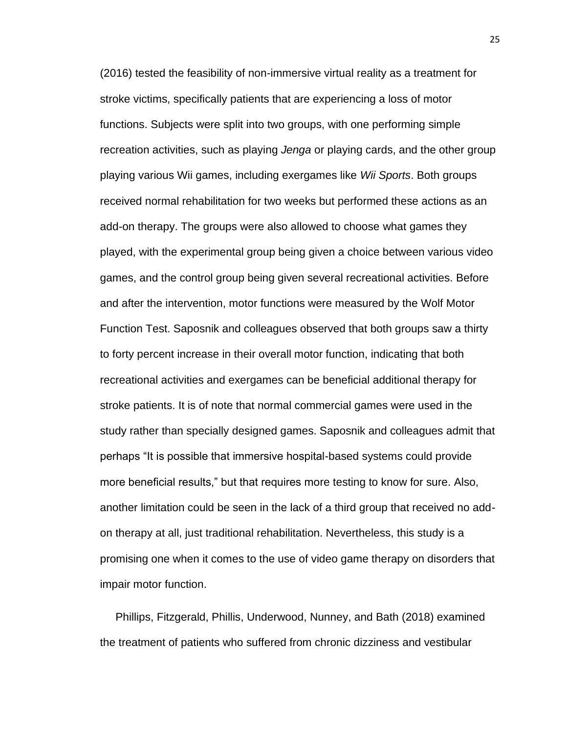(2016) tested the feasibility of non-immersive virtual reality as a treatment for stroke victims, specifically patients that are experiencing a loss of motor functions. Subjects were split into two groups, with one performing simple recreation activities, such as playing *Jenga* or playing cards, and the other group playing various Wii games, including exergames like *Wii Sports*. Both groups received normal rehabilitation for two weeks but performed these actions as an add-on therapy. The groups were also allowed to choose what games they played, with the experimental group being given a choice between various video games, and the control group being given several recreational activities. Before and after the intervention, motor functions were measured by the Wolf Motor Function Test. Saposnik and colleagues observed that both groups saw a thirty to forty percent increase in their overall motor function, indicating that both recreational activities and exergames can be beneficial additional therapy for stroke patients. It is of note that normal commercial games were used in the study rather than specially designed games. Saposnik and colleagues admit that perhaps "It is possible that immersive hospital-based systems could provide more beneficial results," but that requires more testing to know for sure. Also, another limitation could be seen in the lack of a third group that received no addon therapy at all, just traditional rehabilitation. Nevertheless, this study is a promising one when it comes to the use of video game therapy on disorders that impair motor function.

 Phillips, Fitzgerald, Phillis, Underwood, Nunney, and Bath (2018) examined the treatment of patients who suffered from chronic dizziness and vestibular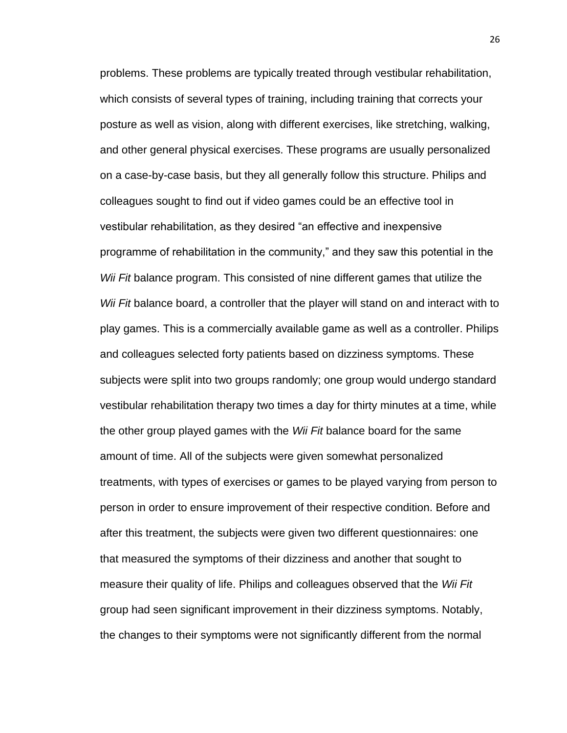problems. These problems are typically treated through vestibular rehabilitation, which consists of several types of training, including training that corrects your posture as well as vision, along with different exercises, like stretching, walking, and other general physical exercises. These programs are usually personalized on a case-by-case basis, but they all generally follow this structure. Philips and colleagues sought to find out if video games could be an effective tool in vestibular rehabilitation, as they desired "an effective and inexpensive programme of rehabilitation in the community," and they saw this potential in the *Wii Fit* balance program. This consisted of nine different games that utilize the *Wii Fit* balance board, a controller that the player will stand on and interact with to play games. This is a commercially available game as well as a controller. Philips and colleagues selected forty patients based on dizziness symptoms. These subjects were split into two groups randomly; one group would undergo standard vestibular rehabilitation therapy two times a day for thirty minutes at a time, while the other group played games with the *Wii Fit* balance board for the same amount of time. All of the subjects were given somewhat personalized treatments, with types of exercises or games to be played varying from person to person in order to ensure improvement of their respective condition. Before and after this treatment, the subjects were given two different questionnaires: one that measured the symptoms of their dizziness and another that sought to measure their quality of life. Philips and colleagues observed that the *Wii Fit* group had seen significant improvement in their dizziness symptoms. Notably, the changes to their symptoms were not significantly different from the normal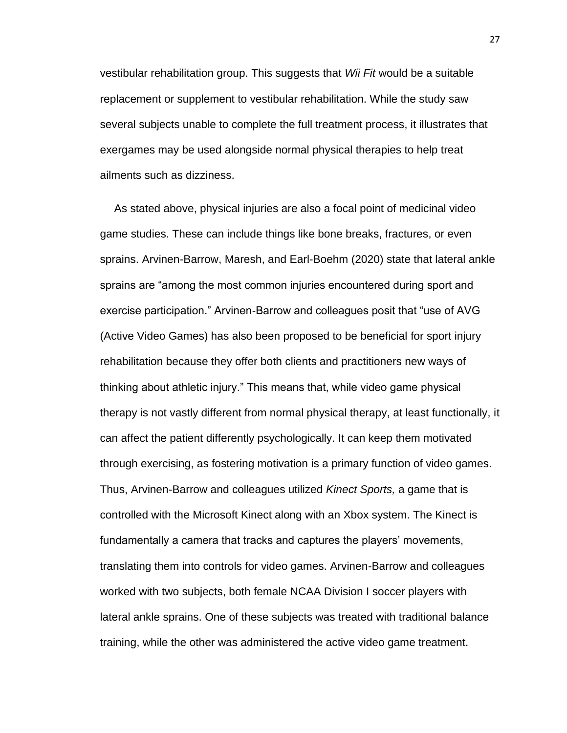vestibular rehabilitation group. This suggests that *Wii Fit* would be a suitable replacement or supplement to vestibular rehabilitation. While the study saw several subjects unable to complete the full treatment process, it illustrates that exergames may be used alongside normal physical therapies to help treat ailments such as dizziness.

 As stated above, physical injuries are also a focal point of medicinal video game studies. These can include things like bone breaks, fractures, or even sprains. Arvinen-Barrow, Maresh, and Earl-Boehm (2020) state that lateral ankle sprains are "among the most common injuries encountered during sport and exercise participation." Arvinen-Barrow and colleagues posit that "use of AVG (Active Video Games) has also been proposed to be beneficial for sport injury rehabilitation because they offer both clients and practitioners new ways of thinking about athletic injury." This means that, while video game physical therapy is not vastly different from normal physical therapy, at least functionally, it can affect the patient differently psychologically. It can keep them motivated through exercising, as fostering motivation is a primary function of video games. Thus, Arvinen-Barrow and colleagues utilized *Kinect Sports,* a game that is controlled with the Microsoft Kinect along with an Xbox system. The Kinect is fundamentally a camera that tracks and captures the players' movements, translating them into controls for video games. Arvinen-Barrow and colleagues worked with two subjects, both female NCAA Division I soccer players with lateral ankle sprains. One of these subjects was treated with traditional balance training, while the other was administered the active video game treatment.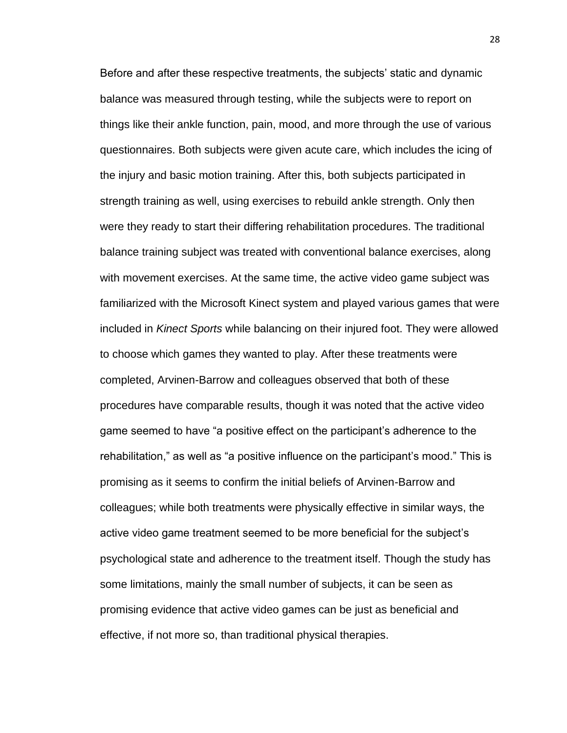Before and after these respective treatments, the subjects' static and dynamic balance was measured through testing, while the subjects were to report on things like their ankle function, pain, mood, and more through the use of various questionnaires. Both subjects were given acute care, which includes the icing of the injury and basic motion training. After this, both subjects participated in strength training as well, using exercises to rebuild ankle strength. Only then were they ready to start their differing rehabilitation procedures. The traditional balance training subject was treated with conventional balance exercises, along with movement exercises. At the same time, the active video game subject was familiarized with the Microsoft Kinect system and played various games that were included in *Kinect Sports* while balancing on their injured foot. They were allowed to choose which games they wanted to play. After these treatments were completed, Arvinen-Barrow and colleagues observed that both of these procedures have comparable results, though it was noted that the active video game seemed to have "a positive effect on the participant's adherence to the rehabilitation," as well as "a positive influence on the participant's mood." This is promising as it seems to confirm the initial beliefs of Arvinen-Barrow and colleagues; while both treatments were physically effective in similar ways, the active video game treatment seemed to be more beneficial for the subject's psychological state and adherence to the treatment itself. Though the study has some limitations, mainly the small number of subjects, it can be seen as promising evidence that active video games can be just as beneficial and effective, if not more so, than traditional physical therapies.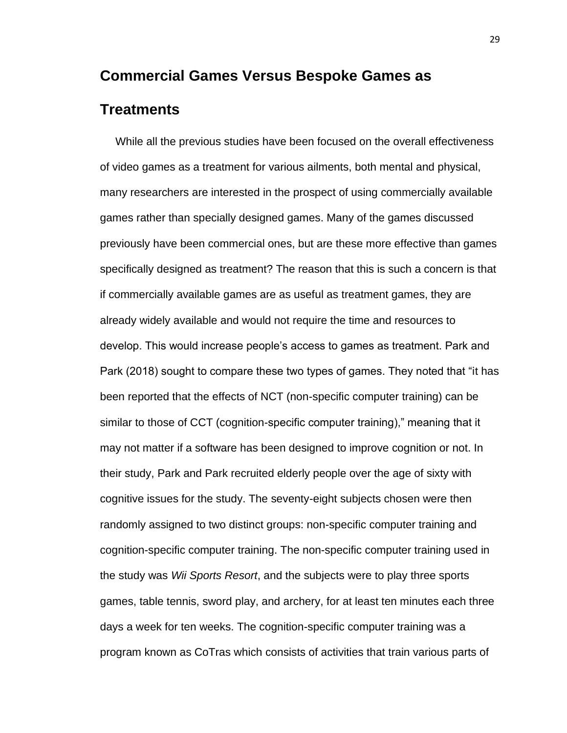#### <span id="page-34-0"></span>**Commercial Games Versus Bespoke Games as**

#### **Treatments**

 While all the previous studies have been focused on the overall effectiveness of video games as a treatment for various ailments, both mental and physical, many researchers are interested in the prospect of using commercially available games rather than specially designed games. Many of the games discussed previously have been commercial ones, but are these more effective than games specifically designed as treatment? The reason that this is such a concern is that if commercially available games are as useful as treatment games, they are already widely available and would not require the time and resources to develop. This would increase people's access to games as treatment. Park and Park (2018) sought to compare these two types of games. They noted that "it has been reported that the effects of NCT (non-specific computer training) can be similar to those of CCT (cognition-specific computer training)," meaning that it may not matter if a software has been designed to improve cognition or not. In their study, Park and Park recruited elderly people over the age of sixty with cognitive issues for the study. The seventy-eight subjects chosen were then randomly assigned to two distinct groups: non-specific computer training and cognition-specific computer training. The non-specific computer training used in the study was *Wii Sports Resort*, and the subjects were to play three sports games, table tennis, sword play, and archery, for at least ten minutes each three days a week for ten weeks. The cognition-specific computer training was a program known as CoTras which consists of activities that train various parts of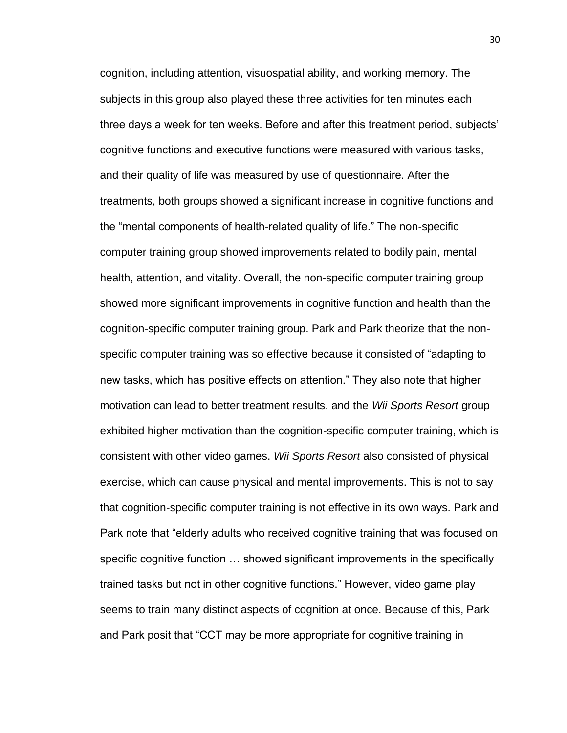cognition, including attention, visuospatial ability, and working memory. The subjects in this group also played these three activities for ten minutes each three days a week for ten weeks. Before and after this treatment period, subjects' cognitive functions and executive functions were measured with various tasks, and their quality of life was measured by use of questionnaire. After the treatments, both groups showed a significant increase in cognitive functions and the "mental components of health-related quality of life." The non-specific computer training group showed improvements related to bodily pain, mental health, attention, and vitality. Overall, the non-specific computer training group showed more significant improvements in cognitive function and health than the cognition-specific computer training group. Park and Park theorize that the nonspecific computer training was so effective because it consisted of "adapting to new tasks, which has positive effects on attention." They also note that higher motivation can lead to better treatment results, and the *Wii Sports Resort* group exhibited higher motivation than the cognition-specific computer training, which is consistent with other video games. *Wii Sports Resort* also consisted of physical exercise, which can cause physical and mental improvements. This is not to say that cognition-specific computer training is not effective in its own ways. Park and Park note that "elderly adults who received cognitive training that was focused on specific cognitive function … showed significant improvements in the specifically trained tasks but not in other cognitive functions." However, video game play seems to train many distinct aspects of cognition at once. Because of this, Park and Park posit that "CCT may be more appropriate for cognitive training in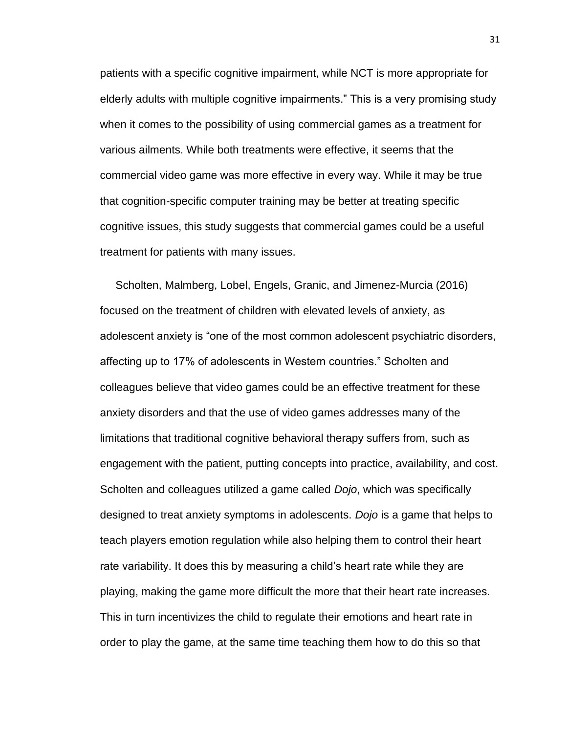patients with a specific cognitive impairment, while NCT is more appropriate for elderly adults with multiple cognitive impairments." This is a very promising study when it comes to the possibility of using commercial games as a treatment for various ailments. While both treatments were effective, it seems that the commercial video game was more effective in every way. While it may be true that cognition-specific computer training may be better at treating specific cognitive issues, this study suggests that commercial games could be a useful treatment for patients with many issues.

 Scholten, Malmberg, Lobel, Engels, Granic, and Jimenez-Murcia (2016) focused on the treatment of children with elevated levels of anxiety, as adolescent anxiety is "one of the most common adolescent psychiatric disorders, affecting up to 17% of adolescents in Western countries." Scholten and colleagues believe that video games could be an effective treatment for these anxiety disorders and that the use of video games addresses many of the limitations that traditional cognitive behavioral therapy suffers from, such as engagement with the patient, putting concepts into practice, availability, and cost. Scholten and colleagues utilized a game called *Dojo*, which was specifically designed to treat anxiety symptoms in adolescents. *Dojo* is a game that helps to teach players emotion regulation while also helping them to control their heart rate variability. It does this by measuring a child's heart rate while they are playing, making the game more difficult the more that their heart rate increases. This in turn incentivizes the child to regulate their emotions and heart rate in order to play the game, at the same time teaching them how to do this so that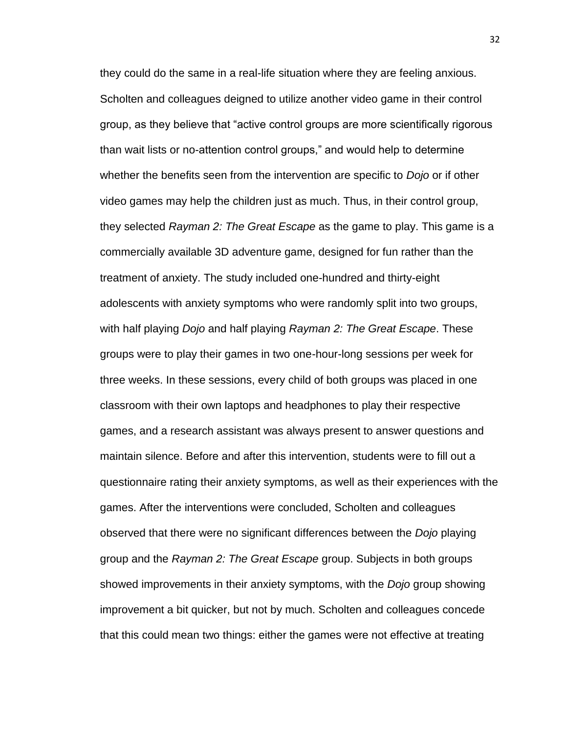they could do the same in a real-life situation where they are feeling anxious. Scholten and colleagues deigned to utilize another video game in their control group, as they believe that "active control groups are more scientifically rigorous than wait lists or no-attention control groups," and would help to determine whether the benefits seen from the intervention are specific to *Dojo* or if other video games may help the children just as much. Thus, in their control group, they selected *Rayman 2: The Great Escape* as the game to play. This game is a commercially available 3D adventure game, designed for fun rather than the treatment of anxiety. The study included one-hundred and thirty-eight adolescents with anxiety symptoms who were randomly split into two groups, with half playing *Dojo* and half playing *Rayman 2: The Great Escape*. These groups were to play their games in two one-hour-long sessions per week for three weeks. In these sessions, every child of both groups was placed in one classroom with their own laptops and headphones to play their respective games, and a research assistant was always present to answer questions and maintain silence. Before and after this intervention, students were to fill out a questionnaire rating their anxiety symptoms, as well as their experiences with the games. After the interventions were concluded, Scholten and colleagues observed that there were no significant differences between the *Dojo* playing group and the *Rayman 2: The Great Escape* group. Subjects in both groups showed improvements in their anxiety symptoms, with the *Dojo* group showing improvement a bit quicker, but not by much. Scholten and colleagues concede that this could mean two things: either the games were not effective at treating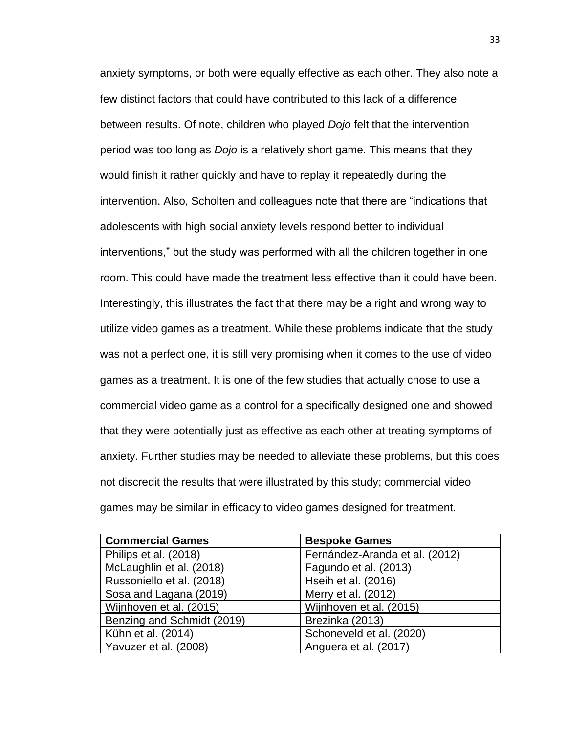anxiety symptoms, or both were equally effective as each other. They also note a few distinct factors that could have contributed to this lack of a difference between results. Of note, children who played *Dojo* felt that the intervention period was too long as *Dojo* is a relatively short game. This means that they would finish it rather quickly and have to replay it repeatedly during the intervention. Also, Scholten and colleagues note that there are "indications that adolescents with high social anxiety levels respond better to individual interventions," but the study was performed with all the children together in one room. This could have made the treatment less effective than it could have been. Interestingly, this illustrates the fact that there may be a right and wrong way to utilize video games as a treatment. While these problems indicate that the study was not a perfect one, it is still very promising when it comes to the use of video games as a treatment. It is one of the few studies that actually chose to use a commercial video game as a control for a specifically designed one and showed that they were potentially just as effective as each other at treating symptoms of anxiety. Further studies may be needed to alleviate these problems, but this does not discredit the results that were illustrated by this study; commercial video games may be similar in efficacy to video games designed for treatment.

| <b>Commercial Games</b>    | <b>Bespoke Games</b>           |
|----------------------------|--------------------------------|
| Philips et al. (2018)      | Fernández-Aranda et al. (2012) |
| McLaughlin et al. (2018)   | Fagundo et al. (2013)          |
| Russoniello et al. (2018)  | Hseih et al. (2016)            |
| Sosa and Lagana (2019)     | Merry et al. (2012)            |
| Wijnhoven et al. (2015)    | Wijnhoven et al. (2015)        |
| Benzing and Schmidt (2019) | Brezinka (2013)                |
| Kühn et al. (2014)         | Schoneveld et al. (2020)       |
| Yavuzer et al. (2008)      | Anguera et al. (2017)          |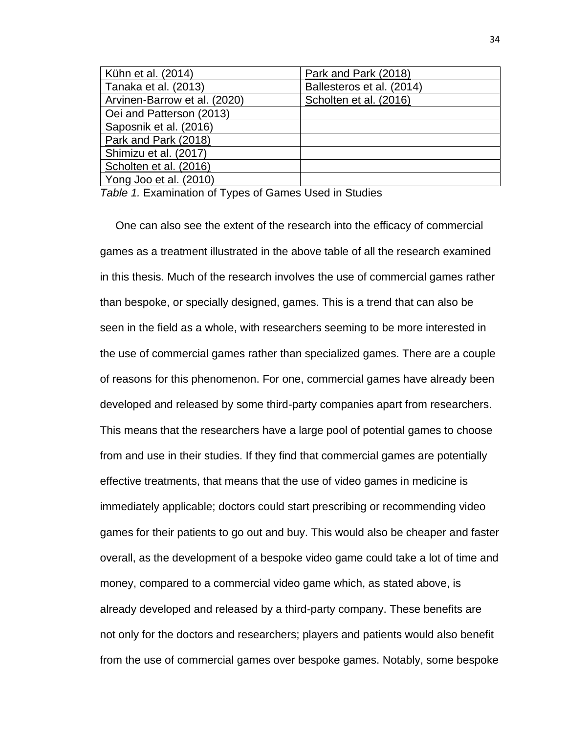| Kühn et al. (2014)           | Park and Park (2018)      |
|------------------------------|---------------------------|
| Tanaka et al. (2013)         | Ballesteros et al. (2014) |
| Arvinen-Barrow et al. (2020) | Scholten et al. (2016)    |
| Oei and Patterson (2013)     |                           |
| Saposnik et al. (2016)       |                           |
| Park and Park (2018)         |                           |
| Shimizu et al. (2017)        |                           |
| Scholten et al. (2016)       |                           |
| Yong Joo et al. (2010)       |                           |

*Table 1.* Examination of Types of Games Used in Studies

 One can also see the extent of the research into the efficacy of commercial games as a treatment illustrated in the above table of all the research examined in this thesis. Much of the research involves the use of commercial games rather than bespoke, or specially designed, games. This is a trend that can also be seen in the field as a whole, with researchers seeming to be more interested in the use of commercial games rather than specialized games. There are a couple of reasons for this phenomenon. For one, commercial games have already been developed and released by some third-party companies apart from researchers. This means that the researchers have a large pool of potential games to choose from and use in their studies. If they find that commercial games are potentially effective treatments, that means that the use of video games in medicine is immediately applicable; doctors could start prescribing or recommending video games for their patients to go out and buy. This would also be cheaper and faster overall, as the development of a bespoke video game could take a lot of time and money, compared to a commercial video game which, as stated above, is already developed and released by a third-party company. These benefits are not only for the doctors and researchers; players and patients would also benefit from the use of commercial games over bespoke games. Notably, some bespoke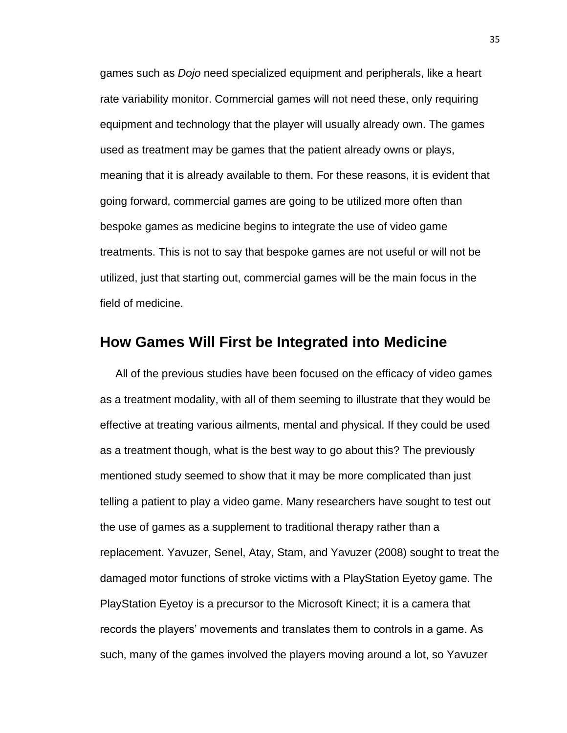games such as *Dojo* need specialized equipment and peripherals, like a heart rate variability monitor. Commercial games will not need these, only requiring equipment and technology that the player will usually already own. The games used as treatment may be games that the patient already owns or plays, meaning that it is already available to them. For these reasons, it is evident that going forward, commercial games are going to be utilized more often than bespoke games as medicine begins to integrate the use of video game treatments. This is not to say that bespoke games are not useful or will not be utilized, just that starting out, commercial games will be the main focus in the field of medicine.

## <span id="page-40-0"></span>**How Games Will First be Integrated into Medicine**

 All of the previous studies have been focused on the efficacy of video games as a treatment modality, with all of them seeming to illustrate that they would be effective at treating various ailments, mental and physical. If they could be used as a treatment though, what is the best way to go about this? The previously mentioned study seemed to show that it may be more complicated than just telling a patient to play a video game. Many researchers have sought to test out the use of games as a supplement to traditional therapy rather than a replacement. Yavuzer, Senel, Atay, Stam, and Yavuzer (2008) sought to treat the damaged motor functions of stroke victims with a PlayStation Eyetoy game. The PlayStation Eyetoy is a precursor to the Microsoft Kinect; it is a camera that records the players' movements and translates them to controls in a game. As such, many of the games involved the players moving around a lot, so Yavuzer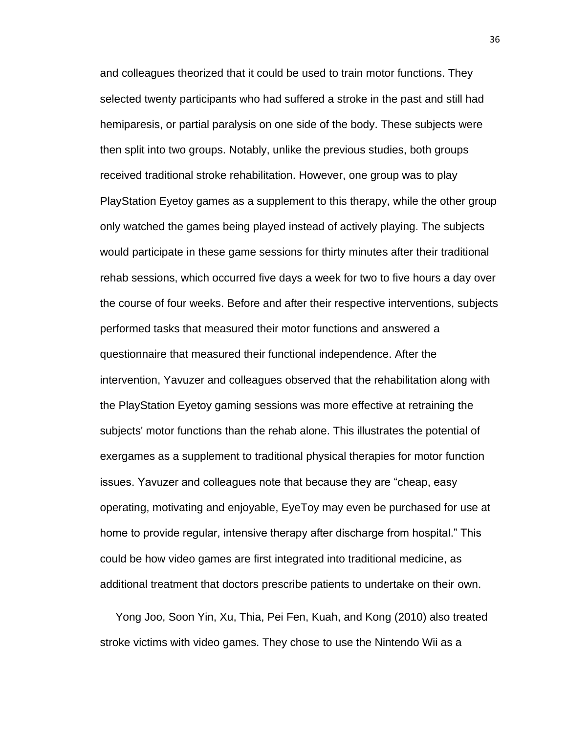and colleagues theorized that it could be used to train motor functions. They selected twenty participants who had suffered a stroke in the past and still had hemiparesis, or partial paralysis on one side of the body. These subjects were then split into two groups. Notably, unlike the previous studies, both groups received traditional stroke rehabilitation. However, one group was to play PlayStation Eyetoy games as a supplement to this therapy, while the other group only watched the games being played instead of actively playing. The subjects would participate in these game sessions for thirty minutes after their traditional rehab sessions, which occurred five days a week for two to five hours a day over the course of four weeks. Before and after their respective interventions, subjects performed tasks that measured their motor functions and answered a questionnaire that measured their functional independence. After the intervention, Yavuzer and colleagues observed that the rehabilitation along with the PlayStation Eyetoy gaming sessions was more effective at retraining the subjects' motor functions than the rehab alone. This illustrates the potential of exergames as a supplement to traditional physical therapies for motor function issues. Yavuzer and colleagues note that because they are "cheap, easy operating, motivating and enjoyable, EyeToy may even be purchased for use at home to provide regular, intensive therapy after discharge from hospital." This could be how video games are first integrated into traditional medicine, as additional treatment that doctors prescribe patients to undertake on their own.

 Yong Joo, Soon Yin, Xu, Thia, Pei Fen, Kuah, and Kong (2010) also treated stroke victims with video games. They chose to use the Nintendo Wii as a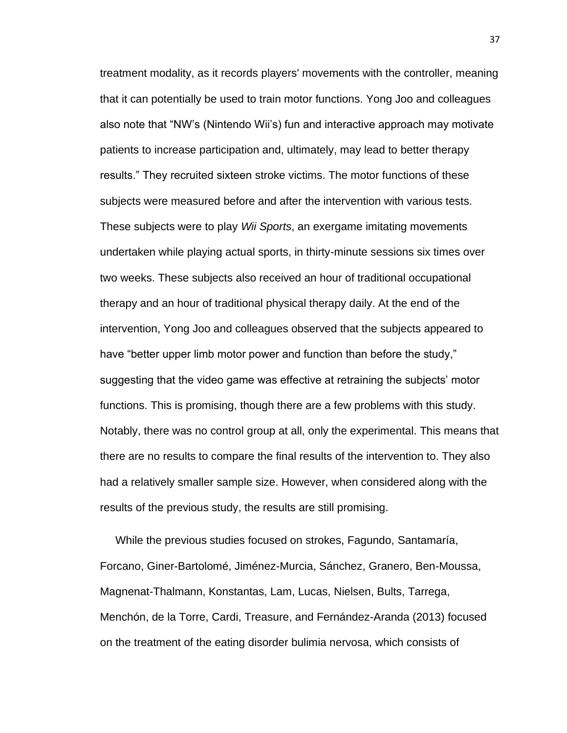treatment modality, as it records players' movements with the controller, meaning that it can potentially be used to train motor functions. Yong Joo and colleagues also note that "NW's (Nintendo Wii's) fun and interactive approach may motivate patients to increase participation and, ultimately, may lead to better therapy results." They recruited sixteen stroke victims. The motor functions of these subjects were measured before and after the intervention with various tests. These subjects were to play *Wii Sports*, an exergame imitating movements undertaken while playing actual sports, in thirty-minute sessions six times over two weeks. These subjects also received an hour of traditional occupational therapy and an hour of traditional physical therapy daily. At the end of the intervention, Yong Joo and colleagues observed that the subjects appeared to have "better upper limb motor power and function than before the study," suggesting that the video game was effective at retraining the subjects' motor functions. This is promising, though there are a few problems with this study. Notably, there was no control group at all, only the experimental. This means that there are no results to compare the final results of the intervention to. They also had a relatively smaller sample size. However, when considered along with the results of the previous study, the results are still promising.

 While the previous studies focused on strokes, Fagundo, Santamaría, Forcano, Giner-Bartolomé, Jiménez-Murcia, Sánchez, Granero, Ben-Moussa, Magnenat-Thalmann, Konstantas, Lam, Lucas, Nielsen, Bults, Tarrega, Menchón, de la Torre, Cardi, Treasure, and Fernández-Aranda (2013) focused on the treatment of the eating disorder bulimia nervosa, which consists of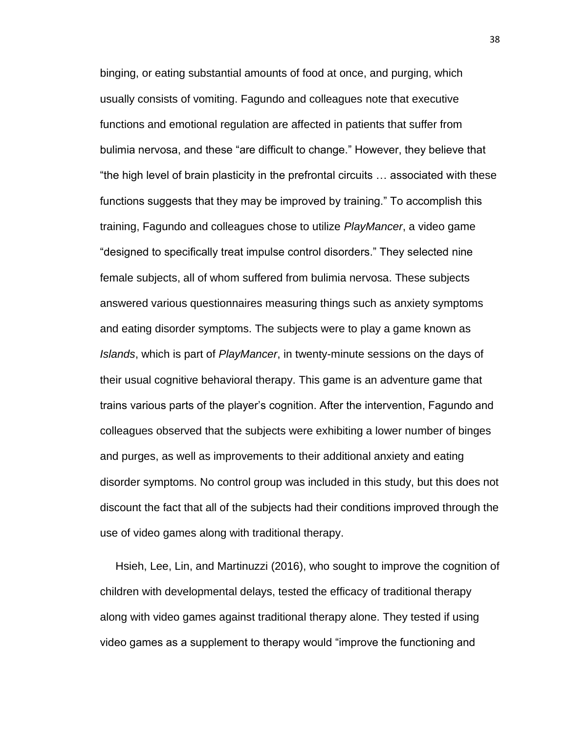binging, or eating substantial amounts of food at once, and purging, which usually consists of vomiting. Fagundo and colleagues note that executive functions and emotional regulation are affected in patients that suffer from bulimia nervosa, and these "are difficult to change." However, they believe that "the high level of brain plasticity in the prefrontal circuits … associated with these functions suggests that they may be improved by training." To accomplish this training, Fagundo and colleagues chose to utilize *PlayMancer*, a video game "designed to specifically treat impulse control disorders." They selected nine female subjects, all of whom suffered from bulimia nervosa. These subjects answered various questionnaires measuring things such as anxiety symptoms and eating disorder symptoms. The subjects were to play a game known as *Islands*, which is part of *PlayMancer*, in twenty-minute sessions on the days of their usual cognitive behavioral therapy. This game is an adventure game that trains various parts of the player's cognition. After the intervention, Fagundo and colleagues observed that the subjects were exhibiting a lower number of binges and purges, as well as improvements to their additional anxiety and eating disorder symptoms. No control group was included in this study, but this does not discount the fact that all of the subjects had their conditions improved through the use of video games along with traditional therapy.

 Hsieh, Lee, Lin, and Martinuzzi (2016), who sought to improve the cognition of children with developmental delays, tested the efficacy of traditional therapy along with video games against traditional therapy alone. They tested if using video games as a supplement to therapy would "improve the functioning and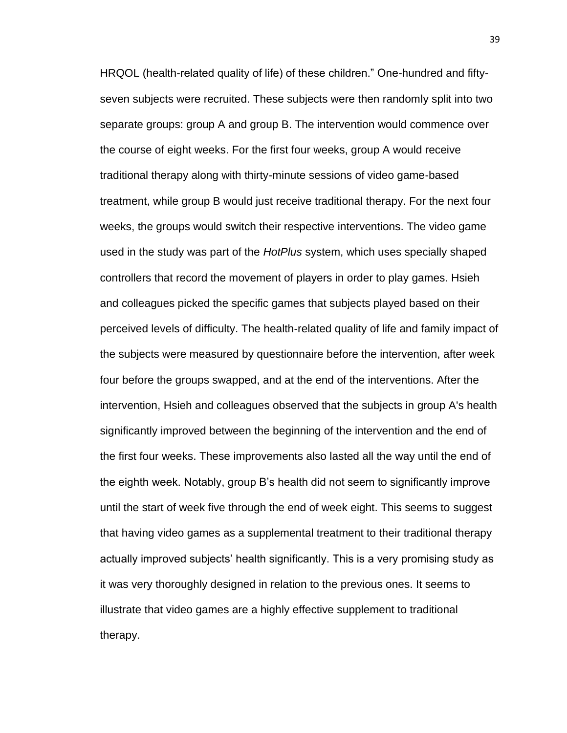HRQOL (health-related quality of life) of these children." One-hundred and fiftyseven subjects were recruited. These subjects were then randomly split into two separate groups: group A and group B. The intervention would commence over the course of eight weeks. For the first four weeks, group A would receive traditional therapy along with thirty-minute sessions of video game-based treatment, while group B would just receive traditional therapy. For the next four weeks, the groups would switch their respective interventions. The video game used in the study was part of the *HotPlus* system, which uses specially shaped controllers that record the movement of players in order to play games. Hsieh and colleagues picked the specific games that subjects played based on their perceived levels of difficulty. The health-related quality of life and family impact of the subjects were measured by questionnaire before the intervention, after week four before the groups swapped, and at the end of the interventions. After the intervention, Hsieh and colleagues observed that the subjects in group A's health significantly improved between the beginning of the intervention and the end of the first four weeks. These improvements also lasted all the way until the end of the eighth week. Notably, group B's health did not seem to significantly improve until the start of week five through the end of week eight. This seems to suggest that having video games as a supplemental treatment to their traditional therapy actually improved subjects' health significantly. This is a very promising study as it was very thoroughly designed in relation to the previous ones. It seems to illustrate that video games are a highly effective supplement to traditional therapy.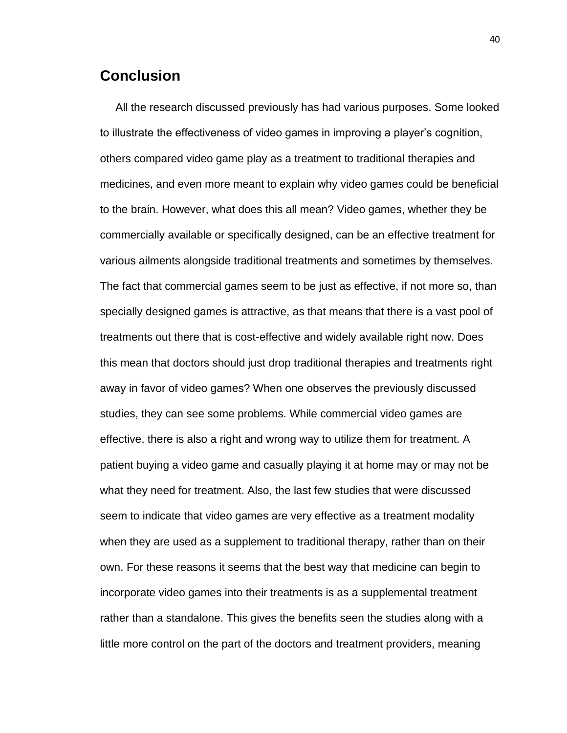## <span id="page-45-0"></span>**Conclusion**

 All the research discussed previously has had various purposes. Some looked to illustrate the effectiveness of video games in improving a player's cognition, others compared video game play as a treatment to traditional therapies and medicines, and even more meant to explain why video games could be beneficial to the brain. However, what does this all mean? Video games, whether they be commercially available or specifically designed, can be an effective treatment for various ailments alongside traditional treatments and sometimes by themselves. The fact that commercial games seem to be just as effective, if not more so, than specially designed games is attractive, as that means that there is a vast pool of treatments out there that is cost-effective and widely available right now. Does this mean that doctors should just drop traditional therapies and treatments right away in favor of video games? When one observes the previously discussed studies, they can see some problems. While commercial video games are effective, there is also a right and wrong way to utilize them for treatment. A patient buying a video game and casually playing it at home may or may not be what they need for treatment. Also, the last few studies that were discussed seem to indicate that video games are very effective as a treatment modality when they are used as a supplement to traditional therapy, rather than on their own. For these reasons it seems that the best way that medicine can begin to incorporate video games into their treatments is as a supplemental treatment rather than a standalone. This gives the benefits seen the studies along with a little more control on the part of the doctors and treatment providers, meaning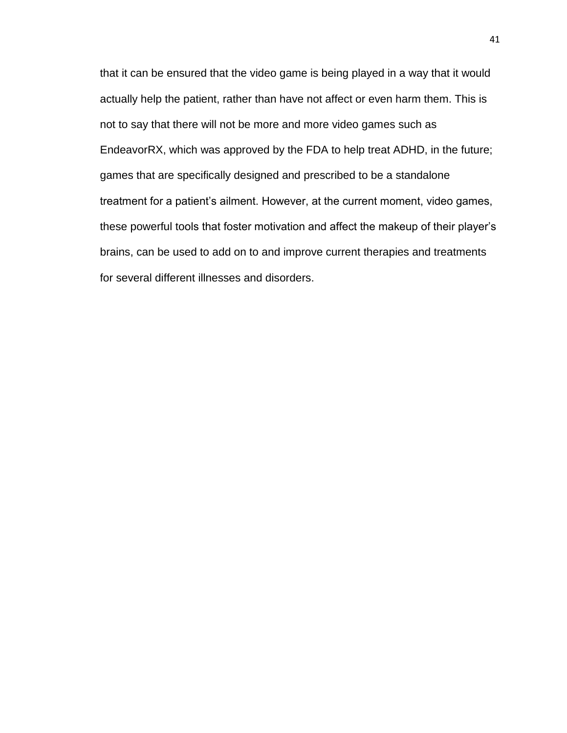that it can be ensured that the video game is being played in a way that it would actually help the patient, rather than have not affect or even harm them. This is not to say that there will not be more and more video games such as EndeavorRX, which was approved by the FDA to help treat ADHD, in the future; games that are specifically designed and prescribed to be a standalone treatment for a patient's ailment. However, at the current moment, video games, these powerful tools that foster motivation and affect the makeup of their player's brains, can be used to add on to and improve current therapies and treatments for several different illnesses and disorders.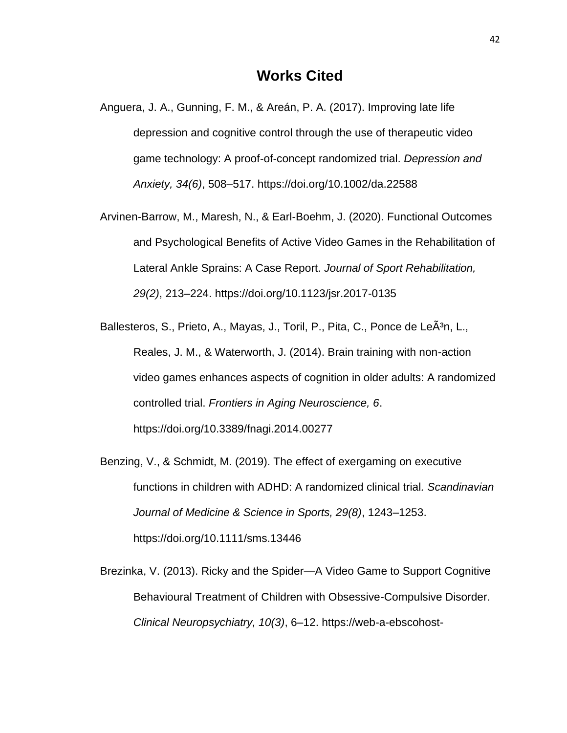- <span id="page-47-0"></span>Anguera, J. A., Gunning, F. M., & Areán, P. A. (2017). Improving late life depression and cognitive control through the use of therapeutic video game technology: A proof-of-concept randomized trial. *Depression and Anxiety, 34(6)*, 508–517. https://doi.org/10.1002/da.22588
- Arvinen-Barrow, M., Maresh, N., & Earl-Boehm, J. (2020). Functional Outcomes and Psychological Benefits of Active Video Games in the Rehabilitation of Lateral Ankle Sprains: A Case Report. *Journal of Sport Rehabilitation, 29(2)*, 213–224. https://doi.org/10.1123/jsr.2017-0135
- Ballesteros, S., Prieto, A., Mayas, J., Toril, P., Pita, C., Ponce de LeÂ<sup>3</sup>n, L., Reales, J. M., & Waterworth, J. (2014). Brain training with non-action video games enhances aspects of cognition in older adults: A randomized controlled trial. *Frontiers in Aging Neuroscience, 6*. https://doi.org/10.3389/fnagi.2014.00277
- Benzing, V., & Schmidt, M. (2019). The effect of exergaming on executive functions in children with ADHD: A randomized clinical trial*. Scandinavian Journal of Medicine & Science in Sports, 29(8)*, 1243–1253. https://doi.org/10.1111/sms.13446
- Brezinka, V. (2013). Ricky and the Spider—A Video Game to Support Cognitive Behavioural Treatment of Children with Obsessive-Compulsive Disorder. *Clinical Neuropsychiatry, 10(3)*, 6–12. https://web-a-ebscohost-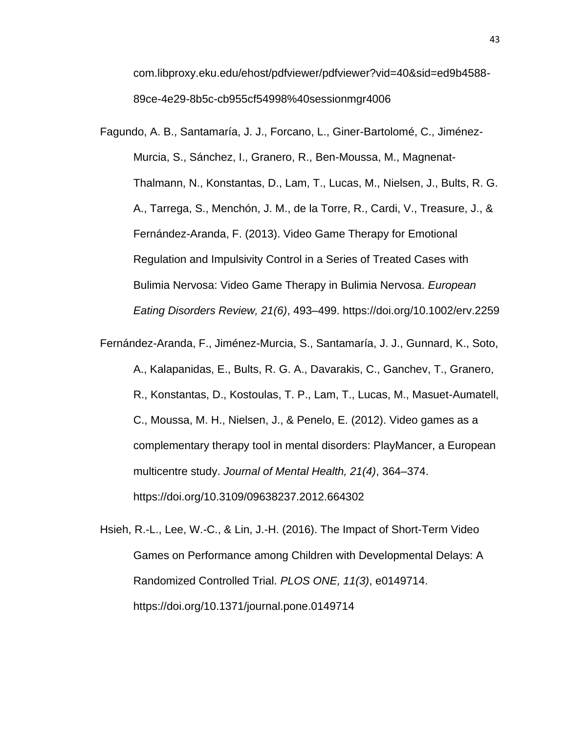com.libproxy.eku.edu/ehost/pdfviewer/pdfviewer?vid=40&sid=ed9b4588- 89ce-4e29-8b5c-cb955cf54998%40sessionmgr4006

Fagundo, A. B., Santamaría, J. J., Forcano, L., Giner-Bartolomé, C., Jiménez-Murcia, S., Sánchez, I., Granero, R., Ben-Moussa, M., Magnenat-Thalmann, N., Konstantas, D., Lam, T., Lucas, M., Nielsen, J., Bults, R. G. A., Tarrega, S., Menchón, J. M., de la Torre, R., Cardi, V., Treasure, J., & Fernández-Aranda, F. (2013). Video Game Therapy for Emotional Regulation and Impulsivity Control in a Series of Treated Cases with Bulimia Nervosa: Video Game Therapy in Bulimia Nervosa. *European Eating Disorders Review, 21(6)*, 493–499. https://doi.org/10.1002/erv.2259

Fernández-Aranda, F., Jiménez-Murcia, S., Santamaría, J. J., Gunnard, K., Soto, A., Kalapanidas, E., Bults, R. G. A., Davarakis, C., Ganchev, T., Granero, R., Konstantas, D., Kostoulas, T. P., Lam, T., Lucas, M., Masuet-Aumatell, C., Moussa, M. H., Nielsen, J., & Penelo, E. (2012). Video games as a complementary therapy tool in mental disorders: PlayMancer, a European multicentre study. *Journal of Mental Health, 21(4)*, 364–374. https://doi.org/10.3109/09638237.2012.664302

Hsieh, R.-L., Lee, W.-C., & Lin, J.-H. (2016). The Impact of Short-Term Video Games on Performance among Children with Developmental Delays: A Randomized Controlled Trial. *PLOS ONE, 11(3)*, e0149714. https://doi.org/10.1371/journal.pone.0149714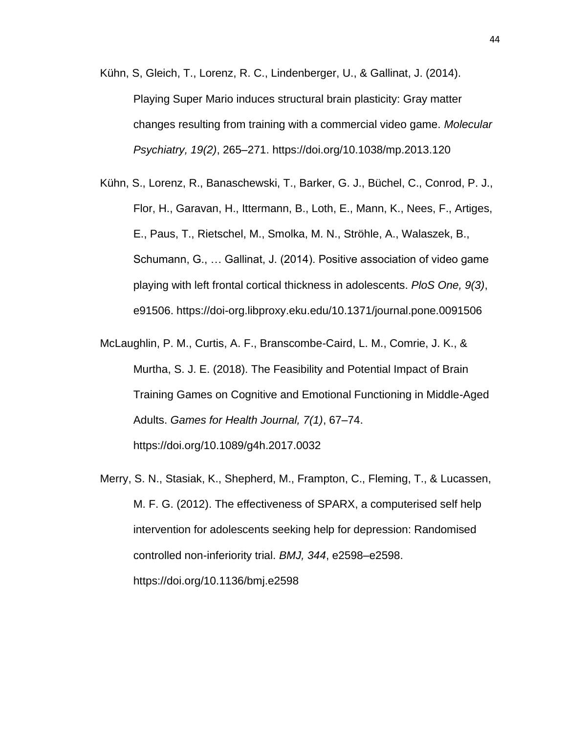- Kühn, S, Gleich, T., Lorenz, R. C., Lindenberger, U., & Gallinat, J. (2014). Playing Super Mario induces structural brain plasticity: Gray matter changes resulting from training with a commercial video game. *Molecular Psychiatry, 19(2)*, 265–271. https://doi.org/10.1038/mp.2013.120
- Kühn, S., Lorenz, R., Banaschewski, T., Barker, G. J., Büchel, C., Conrod, P. J., Flor, H., Garavan, H., Ittermann, B., Loth, E., Mann, K., Nees, F., Artiges, E., Paus, T., Rietschel, M., Smolka, M. N., Ströhle, A., Walaszek, B., Schumann, G., … Gallinat, J. (2014). Positive association of video game playing with left frontal cortical thickness in adolescents. *PloS One, 9(3)*, e91506. https://doi-org.libproxy.eku.edu/10.1371/journal.pone.0091506
- McLaughlin, P. M., Curtis, A. F., Branscombe-Caird, L. M., Comrie, J. K., & Murtha, S. J. E. (2018). The Feasibility and Potential Impact of Brain Training Games on Cognitive and Emotional Functioning in Middle-Aged Adults. *Games for Health Journal, 7(1)*, 67–74. https://doi.org/10.1089/g4h.2017.0032
- Merry, S. N., Stasiak, K., Shepherd, M., Frampton, C., Fleming, T., & Lucassen, M. F. G. (2012). The effectiveness of SPARX, a computerised self help intervention for adolescents seeking help for depression: Randomised controlled non-inferiority trial. *BMJ, 344*, e2598–e2598. https://doi.org/10.1136/bmj.e2598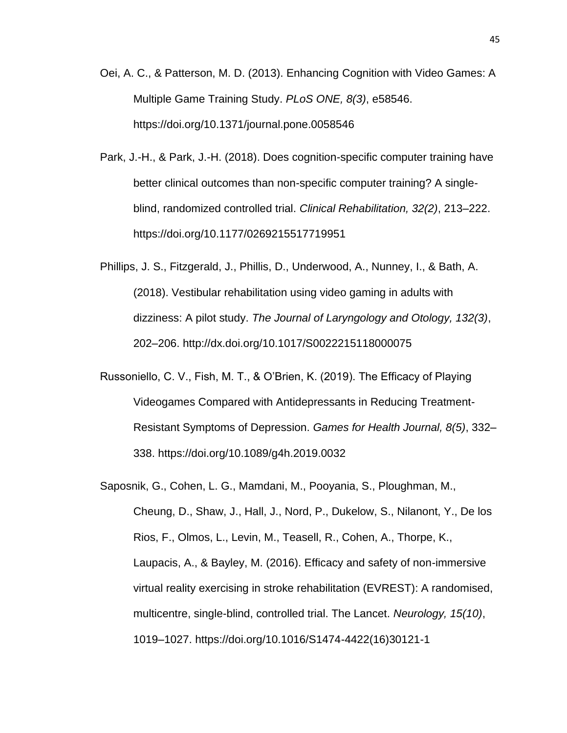- Oei, A. C., & Patterson, M. D. (2013). Enhancing Cognition with Video Games: A Multiple Game Training Study. *PLoS ONE, 8(3)*, e58546. https://doi.org/10.1371/journal.pone.0058546
- Park, J.-H., & Park, J.-H. (2018). Does cognition-specific computer training have better clinical outcomes than non-specific computer training? A singleblind, randomized controlled trial. *Clinical Rehabilitation, 32(2)*, 213–222. https://doi.org/10.1177/0269215517719951
- Phillips, J. S., Fitzgerald, J., Phillis, D., Underwood, A., Nunney, I., & Bath, A. (2018). Vestibular rehabilitation using video gaming in adults with dizziness: A pilot study. *The Journal of Laryngology and Otology, 132(3)*, 202–206. http://dx.doi.org/10.1017/S0022215118000075
- Russoniello, C. V., Fish, M. T., & O'Brien, K. (2019). The Efficacy of Playing Videogames Compared with Antidepressants in Reducing Treatment-Resistant Symptoms of Depression. *Games for Health Journal, 8(5)*, 332– 338. https://doi.org/10.1089/g4h.2019.0032
- Saposnik, G., Cohen, L. G., Mamdani, M., Pooyania, S., Ploughman, M., Cheung, D., Shaw, J., Hall, J., Nord, P., Dukelow, S., Nilanont, Y., De los Rios, F., Olmos, L., Levin, M., Teasell, R., Cohen, A., Thorpe, K., Laupacis, A., & Bayley, M. (2016). Efficacy and safety of non-immersive virtual reality exercising in stroke rehabilitation (EVREST): A randomised, multicentre, single-blind, controlled trial. The Lancet. *Neurology, 15(10)*, 1019–1027. https://doi.org/10.1016/S1474-4422(16)30121-1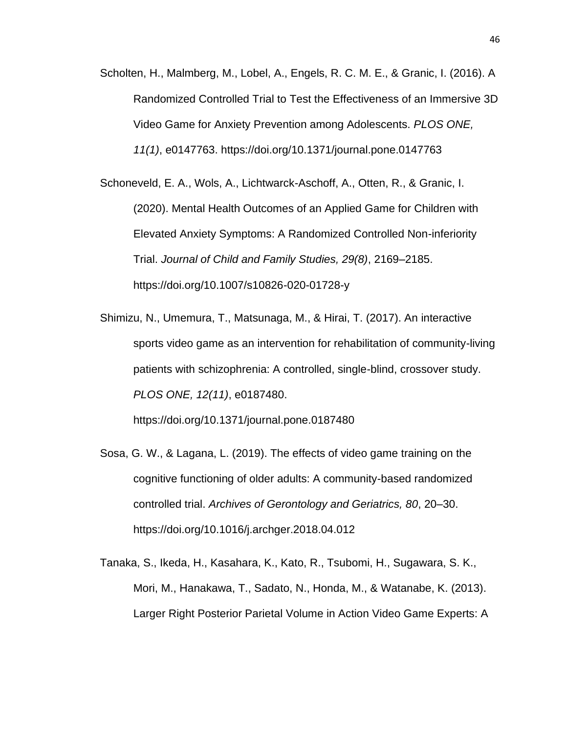Scholten, H., Malmberg, M., Lobel, A., Engels, R. C. M. E., & Granic, I. (2016). A Randomized Controlled Trial to Test the Effectiveness of an Immersive 3D Video Game for Anxiety Prevention among Adolescents. *PLOS ONE, 11(1)*, e0147763. https://doi.org/10.1371/journal.pone.0147763

Schoneveld, E. A., Wols, A., Lichtwarck-Aschoff, A., Otten, R., & Granic, I. (2020). Mental Health Outcomes of an Applied Game for Children with Elevated Anxiety Symptoms: A Randomized Controlled Non-inferiority Trial. *Journal of Child and Family Studies, 29(8)*, 2169–2185. https://doi.org/10.1007/s10826-020-01728-y

Shimizu, N., Umemura, T., Matsunaga, M., & Hirai, T. (2017). An interactive sports video game as an intervention for rehabilitation of community-living patients with schizophrenia: A controlled, single-blind, crossover study. *PLOS ONE, 12(11)*, e0187480.

https://doi.org/10.1371/journal.pone.0187480

- Sosa, G. W., & Lagana, L. (2019). The effects of video game training on the cognitive functioning of older adults: A community-based randomized controlled trial. *Archives of Gerontology and Geriatrics, 80*, 20–30. https://doi.org/10.1016/j.archger.2018.04.012
- Tanaka, S., Ikeda, H., Kasahara, K., Kato, R., Tsubomi, H., Sugawara, S. K., Mori, M., Hanakawa, T., Sadato, N., Honda, M., & Watanabe, K. (2013). Larger Right Posterior Parietal Volume in Action Video Game Experts: A